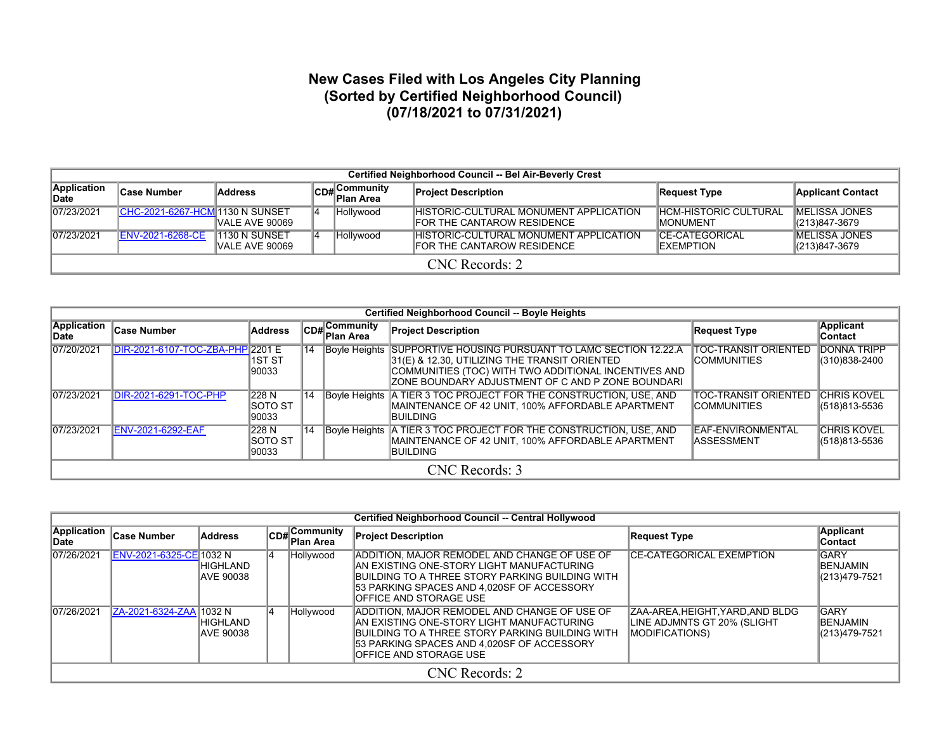## **New Cases Filed with Los Angeles City Planning (Sorted by Certified Neighborhood Council) (07/18/2021 to 07/31/2021)**

|                      | Certified Neighborhood Council -- Bel Air-Beverly Crest |                                 |    |                           |                                                                             |                                             |                                        |  |  |  |  |  |
|----------------------|---------------------------------------------------------|---------------------------------|----|---------------------------|-----------------------------------------------------------------------------|---------------------------------------------|----------------------------------------|--|--|--|--|--|
| Application<br>∣Date | ∣Case Number                                            | <b>Address</b>                  |    | CD#Community<br>Plan Area | <b>Project Description</b>                                                  | Request Type                                | <b>Applicant Contact</b>               |  |  |  |  |  |
| 07/23/2021           | <b>CHC-2021-6267-HCM 1130 N SUNSET</b>                  | VALE AVE 90069                  | 14 | Hollywood                 | <b>HISTORIC-CULTURAL MONUMENT APPLICATION</b><br>FOR THE CANTAROW RESIDENCE | <b>HCM-HISTORIC CULTURAL</b><br>IMONUMENT   | <b>IMELISSA JONES</b><br>(213)847-3679 |  |  |  |  |  |
| 07/23/2021           | <b>ENV-2021-6268-CE</b>                                 | 1130 N SUNSET<br>VALE AVE 90069 | 14 | Hollywood                 | HISTORIC-CULTURAL MONUMENT APPLICATION<br>FOR THE CANTAROW RESIDENCE        | <b>ICE-CATEGORICAL</b><br><b>IEXEMPTION</b> | <b>IMELISSA JONES</b><br>(213)847-3679 |  |  |  |  |  |
|                      | $CNC$ Records: 2                                        |                                 |    |                           |                                                                             |                                             |                                        |  |  |  |  |  |

|                      | Certified Neighborhood Council -- Boyle Heights                                                                                                                                                                                                                                              |                            |    |                                            |                                                                                                                                                                                                                                 |                                                   |                                         |  |  |  |  |  |
|----------------------|----------------------------------------------------------------------------------------------------------------------------------------------------------------------------------------------------------------------------------------------------------------------------------------------|----------------------------|----|--------------------------------------------|---------------------------------------------------------------------------------------------------------------------------------------------------------------------------------------------------------------------------------|---------------------------------------------------|-----------------------------------------|--|--|--|--|--|
| Application<br>lDate | <b>Case Number</b>                                                                                                                                                                                                                                                                           | Address                    |    | $ CD_{\#} $ Community<br><b>∣Plan Area</b> | <b>Project Description</b>                                                                                                                                                                                                      | <b>Request Type</b>                               | Applicant<br>∣Contact                   |  |  |  |  |  |
| 07/20/2021           | DIR-2021-6107-TOC-ZBA-PHP 2201 E                                                                                                                                                                                                                                                             | 1ST ST<br>90033            | 14 |                                            | Boyle Heights SUPPORTIVE HOUSING PURSUANT TO LAMC SECTION 12.22.A<br>31(E) & 12.30, UTILIZING THE TRANSIT ORIENTED<br>COMMUNITIES (TOC) WITH TWO ADDITIONAL INCENTIVES AND<br>ZONE BOUNDARY ADJUSTMENT OF C AND P ZONE BOUNDARI | <b>TOC-TRANSIT ORIENTED</b><br><b>COMMUNITIES</b> | <b>DONNA TRIPP</b><br>$(310)838 - 2400$ |  |  |  |  |  |
| 07/23/2021           | DIR-2021-6291-TOC-PHP                                                                                                                                                                                                                                                                        | 228 N<br>ISOTO ST<br>90033 | 14 |                                            | Boyle Heights   A TIER 3 TOC PROJECT FOR THE CONSTRUCTION, USE, AND<br>MAINTENANCE OF 42 UNIT, 100% AFFORDABLE APARTMENT<br>IBUILDING                                                                                           | TOC-TRANSIT ORIENTED<br><b>COMMUNITIES</b>        | <b>CHRIS KOVEL</b><br>(518)813-5536     |  |  |  |  |  |
| 07/23/2021           | Boyle Heights   A TIER 3 TOC PROJECT FOR THE CONSTRUCTION, USE, AND<br>228 N<br><b>ENV-2021-6292-EAF</b><br><b>CHRIS KOVEL</b><br>EAF-ENVIRONMENTAL<br>114<br>MAINTENANCE OF 42 UNIT, 100% AFFORDABLE APARTMENT<br>$(518)813 - 5536$<br>ISOTO ST<br>IASSESSMENT<br>90033<br><b>IBUILDING</b> |                            |    |                                            |                                                                                                                                                                                                                                 |                                                   |                                         |  |  |  |  |  |
|                      | CNC Records: 3                                                                                                                                                                                                                                                                               |                            |    |                                            |                                                                                                                                                                                                                                 |                                                   |                                         |  |  |  |  |  |

|                      | Certified Neighborhood Council -- Central Hollywood                   |                                     |                            |              |                                                                                                                                                                                                                                      |                                                                                           |                                                  |  |  |  |  |
|----------------------|-----------------------------------------------------------------------|-------------------------------------|----------------------------|--------------|--------------------------------------------------------------------------------------------------------------------------------------------------------------------------------------------------------------------------------------|-------------------------------------------------------------------------------------------|--------------------------------------------------|--|--|--|--|
| Application<br>∣Date | $ CD#$ Community<br>Case Number<br><b>Address</b><br><b>Plan Area</b> |                                     | <b>Project Description</b> | Request Type | <b>Applicant</b><br><b>Contact</b>                                                                                                                                                                                                   |                                                                                           |                                                  |  |  |  |  |
| 07/26/2021           | ENV-2021-6325-CE 1032 N                                               | <b>HIGHLAND</b><br><b>AVE 90038</b> |                            | Hollywood    | <b>ADDITION, MAJOR REMODEL AND CHANGE OF USE OF</b><br>IAN EXISTING ONE-STORY LIGHT MANUFACTURING<br>BUILDING TO A THREE STORY PARKING BUILDING WITH<br>53 PARKING SPACES AND 4.020SF OF ACCESSORY<br><b>IOFFICE AND STORAGE USE</b> | <b>CE-CATEGORICAL EXEMPTION</b>                                                           | <b>GARY</b><br><b>IBENJAMIN</b><br>(213)479-7521 |  |  |  |  |
| 07/26/2021           | ZA-2021-6324-ZAA 1032 N                                               | HIGHLAND<br><b>AVE 90038</b>        | 14                         | Hollywood    | ADDITION, MAJOR REMODEL AND CHANGE OF USE OF<br>IAN EXISTING ONE-STORY LIGHT MANUFACTURING<br>IBUILDING TO A THREE STORY PARKING BUILDING WITH<br>53 PARKING SPACES AND 4.020SF OF ACCESSORY<br><b>IOFFICE AND STORAGE USE</b>       | ZAA-AREA, HEIGHT, YARD, AND BLDG<br>LINE ADJMNTS GT 20% (SLIGHT<br><b>IMODIFICATIONS)</b> | <b>GARY</b><br><b>BENJAMIN</b><br>(213)479-7521  |  |  |  |  |
|                      |                                                                       |                                     |                            |              | CNC Records: 2                                                                                                                                                                                                                       |                                                                                           |                                                  |  |  |  |  |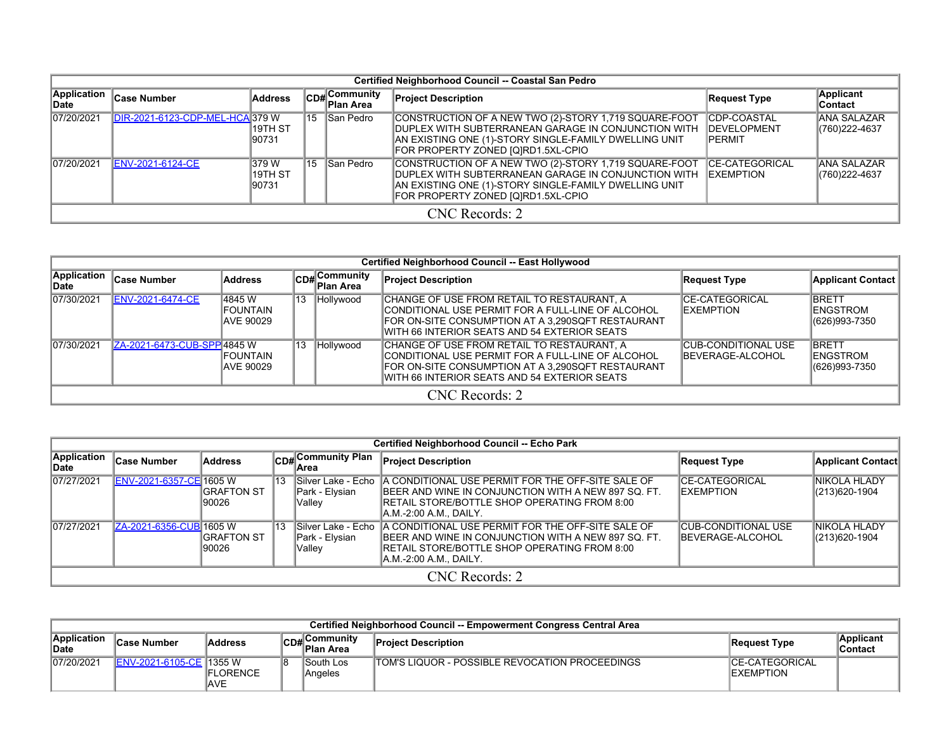|                      | Certified Neighborhood Council -- Coastal San Pedro |                             |    |                           |                                                                                                                                                                                                                     |                                                             |                                      |  |  |  |  |  |
|----------------------|-----------------------------------------------------|-----------------------------|----|---------------------------|---------------------------------------------------------------------------------------------------------------------------------------------------------------------------------------------------------------------|-------------------------------------------------------------|--------------------------------------|--|--|--|--|--|
| Application<br>lDate | <b>Case Number</b>                                  | <b>Address</b>              |    | CD#Community<br>Plan Area | <b>Project Description</b>                                                                                                                                                                                          | <b>Request Type</b>                                         | <b>Applicant</b><br>Contact          |  |  |  |  |  |
| 07/20/2021           | DIR-2021-6123-CDP-MEL-HCA 379 W                     | 19TH ST<br>190731           | 15 | San Pedro                 | CONSTRUCTION OF A NEW TWO (2)-STORY 1,719 SQUARE-FOOT<br><b>IDUPLEX WITH SUBTERRANEAN GARAGE IN CONJUNCTION WITH</b><br>AN EXISTING ONE (1)-STORY SINGLE-FAMILY DWELLING UNIT<br>FOR PROPERTY ZONED [Q]RD1.5XL-CPIO | <b>CDP-COASTAL</b><br><b>IDEVELOPMENT</b><br><b>IPERMIT</b> | <b>ANA SALAZAR</b><br>(760) 222-4637 |  |  |  |  |  |
| 07/20/2021           | ENV-2021-6124-CE                                    | 1379 W<br>19TH ST<br>190731 | 15 | San Pedro                 | CONSTRUCTION OF A NEW TWO (2)-STORY 1,719 SQUARE-FOOT<br><b>IDUPLEX WITH SUBTERRANEAN GARAGE IN CONJUNCTION WITH</b><br>AN EXISTING ONE (1)-STORY SINGLE-FAMILY DWELLING UNIT<br>FOR PROPERTY ZONED [Q]RD1.5XL-CPIO | <b>CE-CATEGORICAL</b><br><b>IEXEMPTION</b>                  | ANA SALAZAR<br>(760) 222-4637        |  |  |  |  |  |
|                      | CNC Records: 2                                      |                             |    |                           |                                                                                                                                                                                                                     |                                                             |                                      |  |  |  |  |  |

|                                                              | Certified Neighborhood Council -- East Hollywood |                                   |    |                                |                                                                                                                                                                                                       |                                                  |                                                   |  |  |  |  |  |
|--------------------------------------------------------------|--------------------------------------------------|-----------------------------------|----|--------------------------------|-------------------------------------------------------------------------------------------------------------------------------------------------------------------------------------------------------|--------------------------------------------------|---------------------------------------------------|--|--|--|--|--|
| Application<br><b>Address</b><br><b>Case Number</b><br>∣Date |                                                  |                                   |    | $ CDH $ Community<br>Plan Area | <b>Project Description</b>                                                                                                                                                                            | Request Type                                     | <b>Applicant Contact</b>                          |  |  |  |  |  |
| 07/30/2021                                                   | <b>ENV-2021-6474-CE</b>                          | 4845 W<br>IFOUNTAIN<br>IAVE 90029 | 13 | Hollywood                      | CHANGE OF USE FROM RETAIL TO RESTAURANT, A<br>ICONDITIONAL USE PERMIT FOR A FULL-LINE OF ALCOHOL<br>FOR ON-SITE CONSUMPTION AT A 3,290SQFT RESTAURANT<br>WITH 66 INTERIOR SEATS AND 54 EXTERIOR SEATS | <b>CE-CATEGORICAL</b><br><b>IEXEMPTION</b>       | <b>BRETT</b><br><b>IENGSTROM</b><br>(626)993-7350 |  |  |  |  |  |
| 07/30/2021                                                   | ZA-2021-6473-CUB-SPP 4845 W                      | IFOUNTAIN<br>IAVE 90029           | 13 | Hollywood                      | CHANGE OF USE FROM RETAIL TO RESTAURANT. A<br>ICONDITIONAL USE PERMIT FOR A FULL-LINE OF ALCOHOL<br>FOR ON-SITE CONSUMPTION AT A 3,290SQFT RESTAURANT<br>WITH 66 INTERIOR SEATS AND 54 EXTERIOR SEATS | ICUB-CONDITIONAL USE<br><b>IBEVERAGE-ALCOHOL</b> | <b>BRETT</b><br><b>IENGSTROM</b><br>(626)993-7350 |  |  |  |  |  |
|                                                              | CNC Records: 2                                   |                                   |    |                                |                                                                                                                                                                                                       |                                                  |                                                   |  |  |  |  |  |

|                      | Certified Neighborhood Council -- Echo Park                             |                             |    |                                                 |                                                                                                                                                                                                   |                                                        |                                |  |  |  |  |  |  |
|----------------------|-------------------------------------------------------------------------|-----------------------------|----|-------------------------------------------------|---------------------------------------------------------------------------------------------------------------------------------------------------------------------------------------------------|--------------------------------------------------------|--------------------------------|--|--|--|--|--|--|
| Application<br>lDate | $ CD# $ Community Plan<br><b>Case Number</b><br><b>Address</b><br>lArea |                             |    | <b>Project Description</b>                      | <b>Request Type</b>                                                                                                                                                                               | Applicant Contact                                      |                                |  |  |  |  |  |  |
| 07/27/2021           | ENV-2021-6357-CE 1605 W                                                 | IGRAFTON ST<br>90026        | 13 | Silver Lake - Echo<br>Park - Elysian<br>Vallev  | <b>A CONDITIONAL USE PERMIT FOR THE OFF-SITE SALE OF</b><br><b>IBEER AND WINE IN CONJUNCTION WITH A NEW 897 SQ. FT.</b><br>IRETAIL STORE/BOTTLE SHOP OPERATING FROM 8:00<br>IA.M.-2:00 A.M DAILY. | <b>ICE-CATEGORICAL</b><br><b>IEXEMPTION</b>            | INIKOLA HLADY<br>(213)620-1904 |  |  |  |  |  |  |
| 07/27/2021           | ZA-2021-6356-CUB 1605 W                                                 | <b>IGRAFTON ST</b><br>90026 | 13 | lSilver Lake - Echo<br>Park - Elysian<br>Valley | A CONDITIONAL USE PERMIT FOR THE OFF-SITE SALE OF<br><b>IBEER AND WINE IN CONJUNCTION WITH A NEW 897 SO. FT.</b><br>IRETAIL STORE/BOTTLE SHOP OPERATING FROM 8:00<br>IA.M.-2:00 A.M., DAILY.      | <b>CUB-CONDITIONAL USE</b><br><b>IBEVERAGE-ALCOHOL</b> | INIKOLA HLADY<br>(213)620-1904 |  |  |  |  |  |  |
|                      |                                                                         |                             |    |                                                 | CNC Records: 2                                                                                                                                                                                    |                                                        |                                |  |  |  |  |  |  |

|                             | Certified Neighborhood Council -- Empowerment Congress Central Area |                                 |  |                                                    |                                                |                                             |                       |  |  |  |  |  |
|-----------------------------|---------------------------------------------------------------------|---------------------------------|--|----------------------------------------------------|------------------------------------------------|---------------------------------------------|-----------------------|--|--|--|--|--|
| <b>Application</b><br>∥Date | ∣Case Number                                                        | Address                         |  | . <b>،</b> Communitv<br>$\mathsf{ICD}\#$ Plan Area | <b>Project Description</b>                     | Request Type                                | Applicant<br>∣Contact |  |  |  |  |  |
| 07/20/2021                  | <b>IENV-2021-6105-CE 1355 W</b>                                     | <b>IFLORENCE</b><br><b>IAVE</b> |  | lSouth Los<br>Angeles                              | TOM'S LIQUOR - POSSIBLE REVOCATION PROCEEDINGS | <b>ICE-CATEGORICAL</b><br><b>IEXEMPTION</b> |                       |  |  |  |  |  |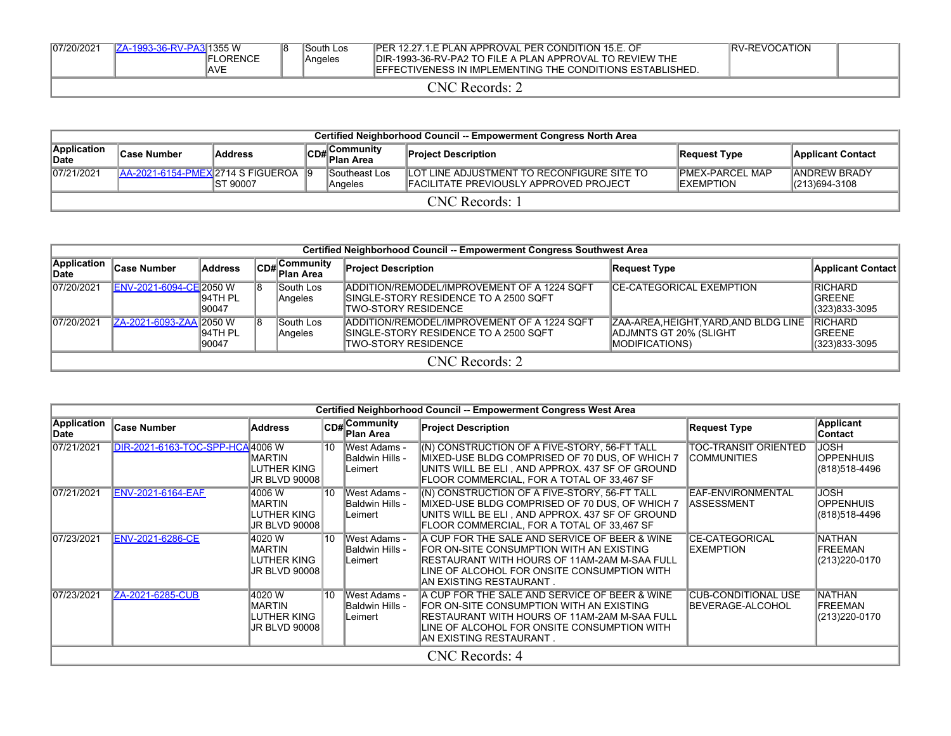| 07/20/2021              | IZA-1993-36-RV-PA3 1355 W | FLORENCE<br>IAVE | 18 | South Los<br>Angeles | IPER 12.27.1.E PLAN APPROVAL PER CONDITION 15.E. OF<br>IDIR-1993-36-RV-PA2 TO FILE A PLAN APPROVAL TO REVIEW THE<br><b>IEFFECTIVENESS IN IMPLEMENTING THE CONDITIONS ESTABLISHED.</b> | IRV-REVOCATION |  |  |  |  |
|-------------------------|---------------------------|------------------|----|----------------------|---------------------------------------------------------------------------------------------------------------------------------------------------------------------------------------|----------------|--|--|--|--|
| $CNC$ Records: $\angle$ |                           |                  |    |                      |                                                                                                                                                                                       |                |  |  |  |  |

| Certified Neighborhood Council -- Empowerment Congress North Area |                                                                                                                                                          |           |  |                           |                                                                                              |                                             |                                       |  |  |  |  |
|-------------------------------------------------------------------|----------------------------------------------------------------------------------------------------------------------------------------------------------|-----------|--|---------------------------|----------------------------------------------------------------------------------------------|---------------------------------------------|---------------------------------------|--|--|--|--|
| Application<br>Date                                               | ∡∣Community<br>∣Case Number<br><b>Address</b><br><b>Project Description</b><br>Applicant Contact<br>Request Type<br>$\mathbb{R}$ <sup>U#</sup> Plan Area |           |  |                           |                                                                                              |                                             |                                       |  |  |  |  |
| 07/21/2021                                                        | LAA-2021-6154-PMEX 2714 S FIGUEROA                                                                                                                       | IST 90007 |  | lSoutheast Los<br>Angeles | LOT LINE ADJUSTMENT TO RECONFIGURE SITE TO<br><b>IFACILITATE PREVIOUSLY APPROVED PROJECT</b> | <b>PMEX-PARCEL MAP</b><br><b>IEXEMPTION</b> | <b>JANDREW BRADY</b><br>(213)694-3108 |  |  |  |  |
| CNC Records: 1                                                    |                                                                                                                                                          |           |  |                           |                                                                                              |                                             |                                       |  |  |  |  |

|                             | Certified Neighborhood Council -- Empowerment Congress Southwest Area                                                                                                                                                                                                                                                                              |                    |  |                      |                                                                                                                      |                           |                                                    |  |  |  |  |  |  |
|-----------------------------|----------------------------------------------------------------------------------------------------------------------------------------------------------------------------------------------------------------------------------------------------------------------------------------------------------------------------------------------------|--------------------|--|----------------------|----------------------------------------------------------------------------------------------------------------------|---------------------------|----------------------------------------------------|--|--|--|--|--|--|
| <b>Application</b><br>∥Date | <b>Case Number</b>                                                                                                                                                                                                                                                                                                                                 | Address            |  | CD#Community         | <b>Project Description</b>                                                                                           | <b>Request Type</b>       | Applicant Contact                                  |  |  |  |  |  |  |
| 07/20/2021                  | ENV-2021-6094-CE 2050 W                                                                                                                                                                                                                                                                                                                            | 194TH PL<br>190047 |  | South Los<br>Angeles | <b>IADDITION/REMODEL/IMPROVEMENT OF A 1224 SQFT</b><br>ISINGLE-STORY RESIDENCE TO A 2500 SQFT<br>TWO-STORY RESIDENCE | ICE-CATEGORICAL EXEMPTION | <b>IRICHARD</b><br><b>IGREENE</b><br>(323)833-3095 |  |  |  |  |  |  |
| 07/20/2021                  | <b>RICHARD</b><br>ZA-2021-6093-ZAA 2050 W<br><b>South Los</b><br>ADDITION/REMODEL/IMPROVEMENT OF A 1224 SQFT<br>ZAA-AREA, HEIGHT, YARD, AND BLDG LINE<br>194TH PL<br>ISINGLE-STORY RESIDENCE TO A 2500 SQFT<br>ADJMNTS GT 20% (SLIGHT<br><b>IGREENE</b><br>Angeles<br><b>TWO-STORY RESIDENCE</b><br><b>MODIFICATIONS</b><br>(323)833-3095<br>90047 |                    |  |                      |                                                                                                                      |                           |                                                    |  |  |  |  |  |  |
|                             | CNC Records: 2                                                                                                                                                                                                                                                                                                                                     |                    |  |                      |                                                                                                                      |                           |                                                    |  |  |  |  |  |  |

|                                   | Certified Neighborhood Council -- Empowerment Congress West Area |                                                                 |    |                                                          |                                                                                                                                                                                                                        |                                                    |                                                   |  |  |  |  |  |  |
|-----------------------------------|------------------------------------------------------------------|-----------------------------------------------------------------|----|----------------------------------------------------------|------------------------------------------------------------------------------------------------------------------------------------------------------------------------------------------------------------------------|----------------------------------------------------|---------------------------------------------------|--|--|--|--|--|--|
| <b>Application</b><br><b>Date</b> | <b>Case Number</b>                                               | <b>Address</b>                                                  |    | CD#Community<br><b>Plan Area</b>                         | <b>Project Description</b>                                                                                                                                                                                             | <b>Request Type</b>                                | <b>Applicant</b><br>Contact                       |  |  |  |  |  |  |
| 07/21/2021                        | DIR-2021-6163-TOC-SPP-HCA4006 W                                  | IMARTIN<br>LUTHER KING<br> JR BLVD 90008                        | 10 | West Adams -<br>IBaldwin Hills -<br>Leimert              | (N) CONSTRUCTION OF A FIVE-STORY, 56-FT TALL<br>MIXED-USE BLDG COMPRISED OF 70 DUS. OF WHICH 7<br>UNITS WILL BE ELI, AND APPROX. 437 SF OF GROUND<br>FLOOR COMMERCIAL. FOR A TOTAL OF 33.467 SF                        | <b>TOC-TRANSIT ORIENTED</b><br><b>ICOMMUNITIES</b> | <b>JOSH</b><br>IOPPENHUIS<br>(818)518-4496        |  |  |  |  |  |  |
| 07/21/2021                        | <b>ENV-2021-6164-EAF</b>                                         | 14006 W<br><b>IMARTIN</b><br>LUTHER KING<br>JR BLVD 90008       | 10 | <b>IWest Adams -</b><br>IBaldwin Hills -<br>Leimert      | (N) CONSTRUCTION OF A FIVE-STORY, 56-FT TALL<br>MIXED-USE BLDG COMPRISED OF 70 DUS, OF WHICH 7<br>UNITS WILL BE ELI, AND APPROX. 437 SF OF GROUND<br>FLOOR COMMERCIAL, FOR A TOTAL OF 33,467 SF                        | EAF-ENVIRONMENTAL<br><b>IASSESSMENT</b>            | <b>JOSH</b><br>IOPPENHUIS<br>(818)518-4496        |  |  |  |  |  |  |
| 07/23/2021                        | <b>ENV-2021-6286-CE</b>                                          | 4020 W<br><b>IMARTIN</b><br>LUTHER KING<br> JR BLVD 90008       | 10 | <b>West Adams -</b><br><b>Baldwin Hills -</b><br>Leimert | A CUP FOR THE SALE AND SERVICE OF BEER & WINE<br>FOR ON-SITE CONSUMPTION WITH AN EXISTING<br>IRESTAURANT WITH HOURS OF 11AM-2AM M-SAA FULL<br>LINE OF ALCOHOL FOR ONSITE CONSUMPTION WITH<br>IAN EXISTING RESTAURANT . | <b>CE-CATEGORICAL</b><br>EXEMPTION                 | NATHAN<br><b>FREEMAN</b><br>(213) 220-0170        |  |  |  |  |  |  |
| 07/23/2021                        | ZA-2021-6285-CUB                                                 | 4020 W<br><b>IMARTIN</b><br>LUTHER KING<br><b>JR BLVD 90008</b> | 10 | West Adams -<br><b>Baldwin Hills -</b><br>Leimert        | A CUP FOR THE SALE AND SERVICE OF BEER & WINE<br>FOR ON-SITE CONSUMPTION WITH AN EXISTING<br>IRESTAURANT WITH HOURS OF 11AM-2AM M-SAA FULL<br>LINE OF ALCOHOL FOR ONSITE CONSUMPTION WITH<br>IAN EXISTING RESTAURANT . | <b>CUB-CONDITIONAL USE</b><br>BEVERAGE-ALCOHOL     | <b>NATHAN</b><br><b>FREEMAN</b><br>(213) 220-0170 |  |  |  |  |  |  |
|                                   |                                                                  |                                                                 |    |                                                          | CNC Records: 4                                                                                                                                                                                                         |                                                    |                                                   |  |  |  |  |  |  |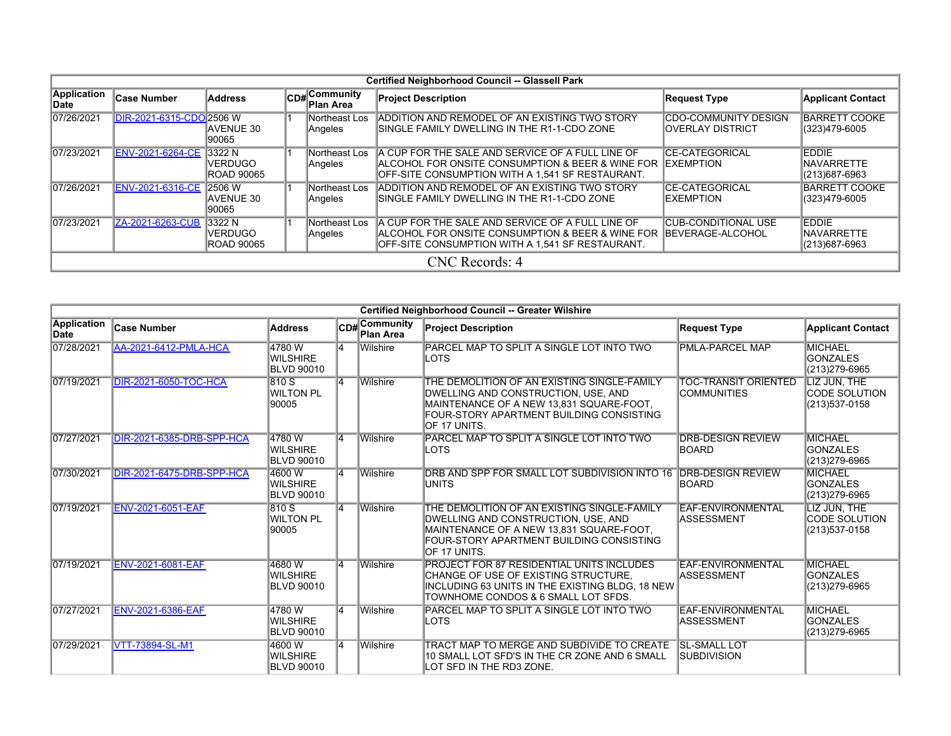|                                                        | Certified Neighborhood Council -- Glassell Park                                                                                                                                                                                                                                                                                                                               |                                               |  |                                    |                                                                                                                                                                                     |                                                  |                                              |  |  |  |  |  |  |
|--------------------------------------------------------|-------------------------------------------------------------------------------------------------------------------------------------------------------------------------------------------------------------------------------------------------------------------------------------------------------------------------------------------------------------------------------|-----------------------------------------------|--|------------------------------------|-------------------------------------------------------------------------------------------------------------------------------------------------------------------------------------|--------------------------------------------------|----------------------------------------------|--|--|--|--|--|--|
| Application<br><b>Address</b><br>∣Case Number<br>∣Date |                                                                                                                                                                                                                                                                                                                                                                               |                                               |  | <b>CD#</b> Community<br>∣Plan Area | <b>Project Description</b>                                                                                                                                                          | <b>Request Type</b>                              | <b>Applicant Contact</b>                     |  |  |  |  |  |  |
| 07/26/2021                                             | DIR-2021-6315-CDO 2506 W                                                                                                                                                                                                                                                                                                                                                      | <b>AVENUE 30</b><br>90065                     |  | Northeast Los<br>Angeles           | ADDITION AND REMODEL OF AN EXISTING TWO STORY<br>SINGLE FAMILY DWELLING IN THE R1-1-CDO ZONE                                                                                        | <b>CDO-COMMUNITY DESIGN</b><br>IOVERLAY DISTRICT | <b>BARRETT COOKE</b><br>(323)479-6005        |  |  |  |  |  |  |
| 07/23/2021                                             | <b>ENV-2021-6264-CE</b>                                                                                                                                                                                                                                                                                                                                                       | 3322 N<br><b>VERDUGO</b><br><b>ROAD 90065</b> |  | Northeast Los<br>Angeles           | A CUP FOR THE SALE AND SERVICE OF A FULL LINE OF<br><b>IALCOHOL FOR ONSITE CONSUMPTION &amp; BEER &amp; WINE FOR IEXEMPTION</b><br>OFF-SITE CONSUMPTION WITH A 1,541 SF RESTAURANT. | <b>CE-CATEGORICAL</b>                            | EDDIE<br><b>INAVARRETTE</b><br>(213)687-6963 |  |  |  |  |  |  |
| 07/26/2021                                             | ENV-2021-6316-CE                                                                                                                                                                                                                                                                                                                                                              | <b>2506 W</b><br><b>AVENUE 30</b><br>90065    |  | Northeast Los<br>Angeles           | ADDITION AND REMODEL OF AN EXISTING TWO STORY<br>ISINGLE FAMILY DWELLING IN THE R1-1-CDO ZONE                                                                                       | <b>CE-CATEGORICAL</b><br><b>IEXEMPTION</b>       | <b>BARRETT COOKE</b><br>(323)479-6005        |  |  |  |  |  |  |
| 07/23/2021                                             | <b>EDDIE</b><br>3322 N<br>IA CUP FOR THE SALE AND SERVICE OF A FULL LINE OF<br>ZA-2021-6263-CUB<br>Northeast Los<br>ICUB-CONDITIONAL USE<br><b>VERDUGO</b><br><b>IBEVERAGE-ALCOHOL</b><br><b>ALCOHOL FOR ONSITE CONSUMPTION &amp; BEER &amp; WINE FOR</b><br><b>INAVARRETTE</b><br>Angeles<br>OFF-SITE CONSUMPTION WITH A 1,541 SF RESTAURANT.<br>ROAD 90065<br>(213)687-6963 |                                               |  |                                    |                                                                                                                                                                                     |                                                  |                                              |  |  |  |  |  |  |
|                                                        | CNC Records: 4                                                                                                                                                                                                                                                                                                                                                                |                                               |  |                                    |                                                                                                                                                                                     |                                                  |                                              |  |  |  |  |  |  |

|                            |                              |                                                |     |                           | <b>Certified Neighborhood Council -- Greater Wilshire</b>                                                                                                                                           |                                             |                                                        |
|----------------------------|------------------------------|------------------------------------------------|-----|---------------------------|-----------------------------------------------------------------------------------------------------------------------------------------------------------------------------------------------------|---------------------------------------------|--------------------------------------------------------|
| <b>Application</b><br>Date | <b>Case Number</b>           | <b>Address</b>                                 |     | CD#Community<br>Plan Area | <b>Project Description</b>                                                                                                                                                                          | <b>Request Type</b>                         | <b>Applicant Contact</b>                               |
| 07/28/2021                 | <b>AA-2021-6412-PMLA-HCA</b> | 4780W<br><b>WILSHIRE</b><br><b>BLVD 90010</b>  | ۱4. | Wilshire                  | PARCEL MAP TO SPLIT A SINGLE LOT INTO TWO<br>LOTS                                                                                                                                                   | <b>PMLA-PARCEL MAP</b>                      | <b>MICHAEL</b><br><b>GONZALES</b><br>(213) 279-6965    |
| 07/19/2021                 | <b>DIR-2021-6050-TOC-HCA</b> | 810 S<br><b>WILTON PL</b><br>90005             | l4  | Wilshire                  | THE DEMOLITION OF AN EXISTING SINGLE-FAMILY<br>DWELLING AND CONSTRUCTION, USE, AND<br>MAINTENANCE OF A NEW 13,831 SQUARE-FOOT,<br> FOUR-STORY APARTMENT BUILDING CONSISTING<br>IOF 17 UNITS.        | <b>TOC-TRANSIT ORIENTED</b><br>ICOMMUNITIES | LIZ JUN, THE<br><b>CODE SOLUTION</b><br>(213)537-0158  |
| 07/27/2021                 | DIR-2021-6385-DRB-SPP-HCA    | 4780W<br><b>WILSHIRE</b><br><b>BLVD 90010</b>  | l4  | <b>Wilshire</b>           | PARCEL MAP TO SPLIT A SINGLE LOT INTO TWO<br><b>LOTS</b>                                                                                                                                            | <b>DRB-DESIGN REVIEW</b><br>BOARD           | <b>MICHAEL</b><br><b>GONZALES</b><br>(213) 279-6965    |
| 07/30/2021                 | DIR-2021-6475-DRB-SPP-HCA    | 4600 W<br><b>WILSHIRE</b><br><b>BLVD 90010</b> | 14  | <b>Wilshire</b>           | DRB AND SPP FOR SMALL LOT SUBDIVISION INTO 16<br>IUNITS.                                                                                                                                            | <b>DRB-DESIGN REVIEW</b><br><b>BOARD</b>    | <b>MICHAEL</b><br><b>GONZALES</b><br>(213) 279-6965    |
| 07/19/2021                 | <b>ENV-2021-6051-EAF</b>     | 810 S<br><b>WILTON PL</b><br>90005             | 14  | Wilshire                  | THE DEMOLITION OF AN EXISTING SINGLE-FAMILY<br>DWELLING AND CONSTRUCTION, USE, AND<br><b>IMAINTENANCE OF A NEW 13.831 SQUARE-FOOT.</b><br>FOUR-STORY APARTMENT BUILDING CONSISTING<br>IOF 17 UNITS. | EAF-ENVIRONMENTAL<br><b>ASSESSMENT</b>      | LIZ JUN, THE<br><b>ICODE SOLUTION</b><br>(213)537-0158 |
| 07/19/2021                 | <b>ENV-2021-6081-EAF</b>     | 4680 W<br><b>WILSHIRE</b><br><b>BLVD 90010</b> | 14  | <b>Wilshire</b>           | <b>PROJECT FOR 87 RESIDENTIAL UNITS INCLUDES</b><br>CHANGE OF USE OF EXISTING STRUCTURE,<br>INCLUDING 63 UNITS IN THE EXISTING BLDG, 18 NEW<br>TOWNHOME CONDOS & 6 SMALL LOT SFDS.                  | EAF-ENVIRONMENTAL<br>ASSESSMENT             | MICHAEL<br><b>GONZALES</b><br>(213) 279-6965           |
| 07/27/2021                 | <b>ENV-2021-6386-EAF</b>     | 4780W<br><b>WILSHIRE</b><br><b>BLVD 90010</b>  | 14  | Wilshire                  | PARCEL MAP TO SPLIT A SINGLE LOT INTO TWO<br>LOTS                                                                                                                                                   | EAF-ENVIRONMENTAL<br><b>ASSESSMENT</b>      | <b>MICHAEL</b><br><b>GONZALES</b><br>(213) 279-6965    |
| 07/29/2021                 | <b>VTT-73894-SL-M1</b>       | 4600W<br><b>WILSHIRE</b><br><b>BLVD 90010</b>  | 14  | Wilshire                  | TRACT MAP TO MERGE AND SUBDIVIDE TO CREATE<br>10 SMALL LOT SFD'S IN THE CR ZONE AND 6 SMALL<br>LOT SFD IN THE RD3 ZONE.                                                                             | <b>SL-SMALL LOT</b><br><b>SUBDIVISION</b>   |                                                        |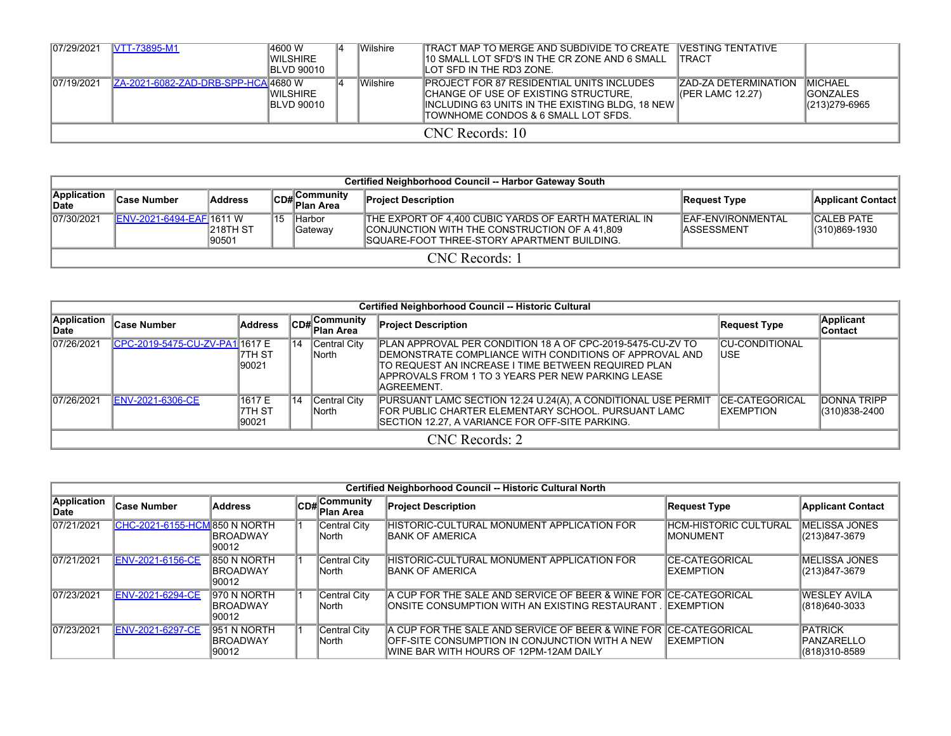| 07/29/2021 | <b>VTT-73895-M1</b>                 | 14600 W<br>IWILSHIRE<br><b>BLVD 90010</b> | Wilshire | <b>ITRACT MAP TO MERGE AND SUBDIVIDE TO CREATE VESTING TENTATIVE</b><br>10 SMALL LOT SFD'S IN THE CR ZONE AND 6 SMALL<br>ILOT SFD IN THE RD3 ZONE.                                  | <b>ITRACT</b>                                   |                                                       |
|------------|-------------------------------------|-------------------------------------------|----------|-------------------------------------------------------------------------------------------------------------------------------------------------------------------------------------|-------------------------------------------------|-------------------------------------------------------|
| 07/19/2021 | ZA-2021-6082-ZAD-DRB-SPP-HCA 4680 W | <b>IWILSHIRE</b><br><b>IBLVD 90010</b>    | Wilshire | <b>PROJECT FOR 87 RESIDENTIAL UNITS INCLUDES</b><br>CHANGE OF USE OF EXISTING STRUCTURE.<br>INCLUDING 63 UNITS IN THE EXISTING BLDG, 18 NEW<br>ITOWNHOME CONDOS & 6 SMALL LOT SFDS. | <b>ZAD-ZA DETERMINATION</b><br>(PER LAMC 12.27) | <b>IMICHAEL</b><br><b>IGONZALES</b><br> (213)279-6965 |
|            |                                     |                                           |          | CNC Records: 10                                                                                                                                                                     |                                                 |                                                       |

|                             | <b>Certified Neighborhood Council -- Harbor Gateway South</b> |                          |     |                                    |                                                                                                                                                              |                                          |                                       |  |  |  |  |  |  |
|-----------------------------|---------------------------------------------------------------|--------------------------|-----|------------------------------------|--------------------------------------------------------------------------------------------------------------------------------------------------------------|------------------------------------------|---------------------------------------|--|--|--|--|--|--|
| Application<br><b>IDate</b> | <b>Case Number</b>                                            | <b>Address</b>           |     | Community<br>lCD# C∪…<br>Plan Area | <b>Project Description</b>                                                                                                                                   | Request Type                             | Applicant Contact                     |  |  |  |  |  |  |
| 07/30/2021                  | <b>IENV-2021-6494-EAFI1611 W</b>                              | <b>218TH ST</b><br>90501 | 115 | Harbor<br>Gateway                  | THE EXPORT OF 4.400 CUBIC YARDS OF EARTH MATERIAL IN<br>CONJUNCTION WITH THE CONSTRUCTION OF A 41,809<br><b>ISQUARE-FOOT THREE-STORY APARTMENT BUILDING.</b> | <b>IEAF-ENVIRONMENTAL</b><br>IASSESSMENT | <b>CALEB PATE</b><br>$ (310)869-1930$ |  |  |  |  |  |  |
|                             | CNC Records: 1                                                |                          |     |                                    |                                                                                                                                                              |                                          |                                       |  |  |  |  |  |  |

|                             | Certified Neighborhood Council -- Historic Cultural |                           |     |                              |                                                                                                                                                                                                                                                   |                                             |                                     |  |  |  |  |  |  |  |
|-----------------------------|-----------------------------------------------------|---------------------------|-----|------------------------------|---------------------------------------------------------------------------------------------------------------------------------------------------------------------------------------------------------------------------------------------------|---------------------------------------------|-------------------------------------|--|--|--|--|--|--|--|
| <b>Application</b><br>∥Date | <b>Case Number</b>                                  | <b>Address</b>            |     | CD#Community<br>Plan Area    | <b>Project Description</b>                                                                                                                                                                                                                        | Request Type                                | <b>Applicant</b><br>Contact         |  |  |  |  |  |  |  |
| 07/26/2021                  | CPC-2019-5475-CU-ZV-PA11617 E                       | 17TH ST<br>90021          | ∜14 | Central City<br><b>North</b> | PLAN APPROVAL PER CONDITION 18 A OF CPC-2019-5475-CU-ZV TO<br>IDEMONSTRATE COMPLIANCE WITH CONDITIONS OF APPROVAL AND<br>ITO REQUEST AN INCREASE I TIME BETWEEN REQUIRED PLAN<br>APPROVALS FROM 1 TO 3 YEARS PER NEW PARKING LEASE<br>IAGREEMENT. | <b>ICU-CONDITIONAL</b><br>IUSE.             |                                     |  |  |  |  |  |  |  |
| 07/26/2021                  | ENV-2021-6306-CE                                    | 1617 E<br>7TH ST<br>90021 | 14  | Central City<br><b>North</b> | PURSUANT LAMC SECTION 12.24 U.24(A), A CONDITIONAL USE PERMIT<br>FOR PUBLIC CHARTER ELEMENTARY SCHOOL. PURSUANT LAMC<br>SECTION 12.27, A VARIANCE FOR OFF-SITE PARKING.                                                                           | <b>ICE-CATEGORICAL</b><br><b>IEXEMPTION</b> | <b>DONNA TRIPP</b><br>(310)838-2400 |  |  |  |  |  |  |  |
|                             | CNC Records: 2                                      |                           |     |                              |                                                                                                                                                                                                                                                   |                                             |                                     |  |  |  |  |  |  |  |

|                      |                               |                                          |                           | Certified Neighborhood Council -- Historic Cultural North                                                                                                     |                                            |                                                       |
|----------------------|-------------------------------|------------------------------------------|---------------------------|---------------------------------------------------------------------------------------------------------------------------------------------------------------|--------------------------------------------|-------------------------------------------------------|
| Application<br>∣Date | ∣Case Number                  | Address                                  | CD#Community<br>Plan Area | <b>Project Description</b>                                                                                                                                    | Request Type                               | <b>Applicant Contact</b>                              |
| 07/21/2021           | CHC-2021-6155-HCM 850 N NORTH | <b>IBROADWAY</b><br>90012                | Central City<br>North     | HISTORIC-CULTURAL MONUMENT APPLICATION FOR<br><b>BANK OF AMERICA</b>                                                                                          | <b>IHCM-HISTORIC CULTURAL</b><br>IMONUMENT | <b>IMELISSA JONES</b><br>(213)847-3679                |
| 07/21/2021           | <b>ENV-2021-6156-CE</b>       | 850 N NORTH<br><b>IBROADWAY</b><br>90012 | Central City<br> North    | HISTORIC-CULTURAL MONUMENT APPLICATION FOR<br><b>BANK OF AMERICA</b>                                                                                          | <b>CE-CATEGORICAL</b><br><b>IEXEMPTION</b> | <b>IMELISSA JONES</b><br>(213)847-3679                |
| 07/23/2021           | <b>ENV-2021-6294-CE</b>       | 970 N NORTH<br><b>IBROADWAY</b><br>90012 | Central City<br> North    | A CUP FOR THE SALE AND SERVICE OF BEER & WINE FOR ICE-CATEGORICAL<br>IONSITE CONSUMPTION WITH AN EXISTING RESTAURANT . IEXEMPTION                             |                                            | <b>WESLEY AVILA</b><br>(818) 640-3033                 |
| 07/23/2021           | <b>ENV-2021-6297-CE</b>       | 951 N NORTH<br><b>IBROADWAY</b><br>90012 | Central City<br> North    | A CUP FOR THE SALE AND SERVICE OF BEER & WINE FOR ICE-CATEGORICAL<br>OFF-SITE CONSUMPTION IN CONJUNCTION WITH A NEW<br>WINE BAR WITH HOURS OF 12PM-12AM DAILY | <b>IEXEMPTION</b>                          | <b>PATRICK</b><br><b>IPANZARELLO</b><br>(818)310-8589 |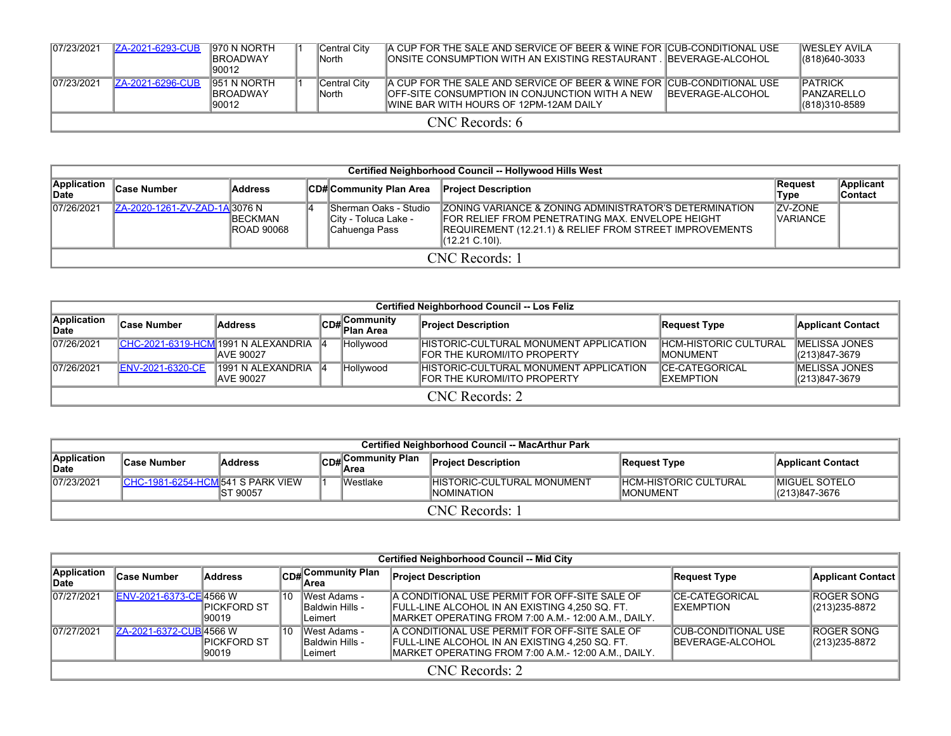| 107/23/2021 | <b>IZA-2021-6293-CUB</b> | 1970 N NORTH<br><b>IBROADWAY</b><br>90012        |  | Central City<br>lNorth  | A CUP FOR THE SALE AND SERVICE OF BEER & WINE FOR CUB-CONDITIONAL USE<br><b>JONSITE CONSUMPTION WITH AN EXISTING RESTAURANT . BEVERAGE-ALCOHOL</b>                         |                   | <b>IWESI FY AVILA</b><br>$ (818)640-3033$              |  |  |  |  |
|-------------|--------------------------|--------------------------------------------------|--|-------------------------|----------------------------------------------------------------------------------------------------------------------------------------------------------------------------|-------------------|--------------------------------------------------------|--|--|--|--|
| 107/23/2021 | <b>IZA-2021-6296-CUB</b> | <b>1951 N NORTH</b><br><b>IBROADWAY</b><br>90012 |  | Central City<br>lNorth. | A CUP FOR THE SALE AND SERVICE OF BEER & WINE FOR CUB-CONDITIONAL USE<br><b>IOFF-SITE CONSUMPTION IN CONJUNCTION WITH A NEW</b><br>IWINE BAR WITH HOURS OF 12PM-12AM DAILY | IBEVERAGE-ALCOHOL | <b>IPATRICK</b><br><b>IPANZARELLO</b><br>(818)310-8589 |  |  |  |  |
|             | $CNC$ Records: 6         |                                                  |  |                         |                                                                                                                                                                            |                   |                                                        |  |  |  |  |

|                      | Certified Neighborhood Council -- Hollywood Hills West                                       |                                      |  |                                                                |                                                                                                                                                                                                                      |                                   |  |  |  |  |  |  |  |
|----------------------|----------------------------------------------------------------------------------------------|--------------------------------------|--|----------------------------------------------------------------|----------------------------------------------------------------------------------------------------------------------------------------------------------------------------------------------------------------------|-----------------------------------|--|--|--|--|--|--|--|
| Application<br>∣Date | Case Number<br><b>CD#Community Plan Area</b><br><b>Address</b><br><b>Project Description</b> |                                      |  |                                                                |                                                                                                                                                                                                                      |                                   |  |  |  |  |  |  |  |
| 07/26/2021           | ZA-2020-1261-ZV-ZAD-1A 3076 N                                                                | <b>IBECKMAN</b><br><b>ROAD 90068</b> |  | Sherman Oaks - Studio<br>City - Toluca Lake -<br>Cahuenga Pass | <b>ZONING VARIANCE &amp; ZONING ADMINISTRATOR'S DETERMINATION</b><br><b>FOR RELIEF FROM PENETRATING MAX. ENVELOPE HEIGHT</b><br><b>REQUIREMENT (12.21.1) &amp; RELIEF FROM STREET IMPROVEMENTS</b><br>(12.21 C.10I). | <b>ZV-ZONE</b><br><b>VARIANCE</b> |  |  |  |  |  |  |  |
|                      | <b>CNC</b> Records: 1                                                                        |                                      |  |                                                                |                                                                                                                                                                                                                      |                                   |  |  |  |  |  |  |  |

|                      | Certified Neighborhood Council -- Los Feliz |                                                          |  |                                          |                                                                               |                                                  |                                           |  |  |  |  |  |  |
|----------------------|---------------------------------------------|----------------------------------------------------------|--|------------------------------------------|-------------------------------------------------------------------------------|--------------------------------------------------|-------------------------------------------|--|--|--|--|--|--|
| Application<br>∣Date | ∣Case Number                                | <b>Address</b>                                           |  | , Community<br><sup>∥⊂D#</sup> Plan Area | <b>Project Description</b>                                                    | <b>Request Type</b>                              | <b>Applicant Contact</b>                  |  |  |  |  |  |  |
| 07/26/2021           |                                             | CHC-2021-6319-HCM 1991 N ALEXANDRIA<br><b>JAVE 90027</b> |  | Hollywood                                | <b>IHISTORIC-CULTURAL MONUMENT APPLICATION</b><br>FOR THE KUROMI/ITO PROPERTY | <b>HCM-HISTORIC CULTURAL</b><br><b>IMONUMENT</b> | IMELISSA JONES<br>(213)847-3679           |  |  |  |  |  |  |
| 07/26/2021           | <b>ENV-2021-6320-CE</b>                     | 1991 N ALEXANDRIA<br><b>AVE 90027</b>                    |  | Hollywood                                | HISTORIC-CULTURAL MONUMENT APPLICATION<br><b>IFOR THE KUROMI/ITO PROPERTY</b> | <b>ICE-CATEGORICAL</b><br><b>IEXEMPTION</b>      | <b>IMELISSA JONES</b><br>$ (213)847-3679$ |  |  |  |  |  |  |
|                      | CNC Records: 2                              |                                                          |  |                                          |                                                                               |                                                  |                                           |  |  |  |  |  |  |

|                      | Certified Neighborhood Council -- MacArthur Park |                |  |                   |                                                   |                                     |                                        |  |  |  |  |  |  |  |
|----------------------|--------------------------------------------------|----------------|--|-------------------|---------------------------------------------------|-------------------------------------|----------------------------------------|--|--|--|--|--|--|--|
| Application<br>∣Date | ∣Case Number                                     | <b>Address</b> |  | CD#Community Plan | <b>Proiect Description</b>                        | Request Type                        | <b>Applicant Contact</b>               |  |  |  |  |  |  |  |
| 07/23/2021           | ICHC-1981-6254-HCM 541 S PARK VIEW               | IST 90057      |  | <b>Westlake</b>   | IHISTORIC-CULTURAL MONUMENT<br><b>INOMINATION</b> | IHCM-HISTORIC CULTURAL<br>IMONUMENT | <b>IMIGUEL SOTELO</b><br>(213)847-3676 |  |  |  |  |  |  |  |
| CNC Records: 1       |                                                  |                |  |                   |                                                   |                                     |                                        |  |  |  |  |  |  |  |

|                      | Certified Neighborhood Council -- Mid City |                        |    |                                            |                                                                                                                                                                |                                                        |                                       |  |  |  |  |  |  |
|----------------------|--------------------------------------------|------------------------|----|--------------------------------------------|----------------------------------------------------------------------------------------------------------------------------------------------------------------|--------------------------------------------------------|---------------------------------------|--|--|--|--|--|--|
| Application<br>∥Date | <b>Case Number</b>                         | <b>Address</b>         |    | CD#Community Plan<br>Area                  | <b>Project Description</b>                                                                                                                                     | Request Type                                           | <b>Applicant Contact</b>              |  |  |  |  |  |  |
| 07/27/2021           | ENV-2021-6373-CE 4566 W                    | IPICKFORD ST<br>190019 | 10 | West Adams -<br>Baldwin Hills -<br>Leimert | A CONDITIONAL USE PERMIT FOR OFF-SITE SALE OF<br><b>IFULL-LINE ALCOHOL IN AN EXISTING 4.250 SQ. FT.</b><br>MARKET OPERATING FROM 7:00 A.M.- 12:00 A.M., DAILY. | <b>ICE-CATEGORICAL</b><br><b>IEXEMPTION</b>            | <b>ROGER SONG</b><br>(213) 235-8872   |  |  |  |  |  |  |
| 07/27/2021           | ZA-2021-6372-CUB 4566 W                    | IPICKFORD ST<br>190019 | 10 | West Adams -<br>Baldwin Hills -<br>Leimert | A CONDITIONAL USE PERMIT FOR OFF-SITE SALE OF<br><b>IFULL-LINE ALCOHOL IN AN EXISTING 4.250 SQ. FT.</b><br>MARKET OPERATING FROM 7:00 A.M.- 12:00 A.M., DAILY. | <b>CUB-CONDITIONAL USE</b><br><b>IBEVERAGE-ALCOHOL</b> | <b>ROGER SONG</b><br>$ (213)235-8872$ |  |  |  |  |  |  |
|                      | CNC Records: 2                             |                        |    |                                            |                                                                                                                                                                |                                                        |                                       |  |  |  |  |  |  |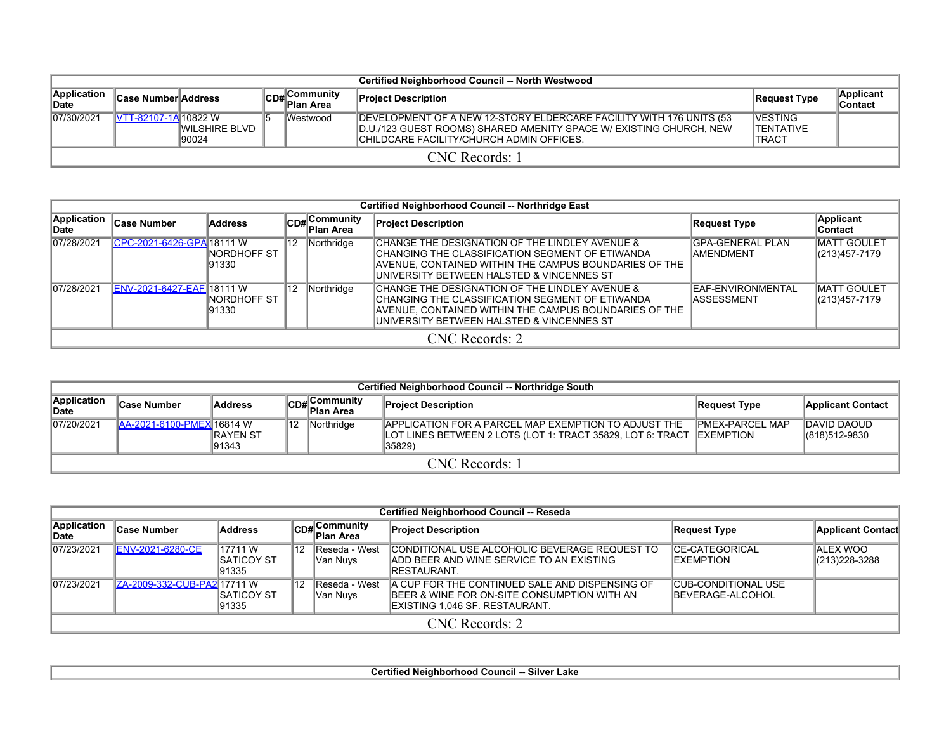|                      | Certified Neighborhood Council -- North Westwood |                                |  |                            |                                                                                                                                                                                        |                                               |                      |  |  |  |  |  |  |
|----------------------|--------------------------------------------------|--------------------------------|--|----------------------------|----------------------------------------------------------------------------------------------------------------------------------------------------------------------------------------|-----------------------------------------------|----------------------|--|--|--|--|--|--|
| Application<br>∥Date | <b>Case Number Address</b>                       |                                |  | CD# Community<br>Plan Area | <b>Project Description</b>                                                                                                                                                             | Request Type                                  | Applicant<br>Contact |  |  |  |  |  |  |
| 107/30/2021          | <b>IVTT-82107-1A 10822 W</b>                     | <b>IWILSHIRE BLVD</b><br>90024 |  | <b>IWestwood</b>           | DEVELOPMENT OF A NEW 12-STORY ELDERCARE FACILITY WITH 176 UNITS (53<br>D.U./123 GUEST ROOMS) SHARED AMENITY SPACE W/ EXISTING CHURCH, NEW<br>ICHILDCARE FACILITY/CHURCH ADMIN OFFICES. | <b>IVESTING</b><br>ITENTATIVE<br><b>TRACT</b> |                      |  |  |  |  |  |  |
|                      | CNC Records: 1                                   |                                |  |                            |                                                                                                                                                                                        |                                               |                      |  |  |  |  |  |  |

|                             | Certified Neighborhood Council -- Northridge East |                        |                 |                                           |                                                                                                                                                                                                         |                                              |                                     |  |  |  |  |  |  |
|-----------------------------|---------------------------------------------------|------------------------|-----------------|-------------------------------------------|---------------------------------------------------------------------------------------------------------------------------------------------------------------------------------------------------------|----------------------------------------------|-------------------------------------|--|--|--|--|--|--|
| <b>Application</b><br>∥Date | <b>Case Number</b>                                | <b>Address</b>         |                 | $ CD_{\#} $ Community<br><b>Plan Area</b> | <b>Project Description</b>                                                                                                                                                                              | Request Type                                 | <b>Applicant</b><br>∣Contact        |  |  |  |  |  |  |
| 07/28/2021                  | CPC-2021-6426-GPA 18111 W                         | INORDHOFF ST<br>191330 | 12              | Northridge                                | CHANGE THE DESIGNATION OF THE LINDLEY AVENUE &<br>CHANGING THE CLASSIFICATION SEGMENT OF ETIWANDA<br>AVENUE, CONTAINED WITHIN THE CAMPUS BOUNDARIES OF THE<br>UNIVERSITY BETWEEN HALSTED & VINCENNES ST | <b>GPA-GENERAL PLAN</b><br><b>IAMENDMENT</b> | <b>MATT GOULET</b><br>(213)457-7179 |  |  |  |  |  |  |
| 07/28/2021                  | ENV-2021-6427-EAF 18111 W                         | INORDHOFF ST<br>191330 | $\overline{12}$ | Northridge                                | CHANGE THE DESIGNATION OF THE LINDLEY AVENUE &<br>CHANGING THE CLASSIFICATION SEGMENT OF ETIWANDA<br>AVENUE, CONTAINED WITHIN THE CAMPUS BOUNDARIES OF THE<br>UNIVERSITY BETWEEN HALSTED & VINCENNES ST | IEAF-ENVIRONMENTAL<br><b>IASSESSMENT</b>     | IMATT GOULET<br>(213)457-7179       |  |  |  |  |  |  |
|                             | $CNC$ Records: 2                                  |                        |                 |                                           |                                                                                                                                                                                                         |                                              |                                     |  |  |  |  |  |  |

|                      | Certified Neighborhood Council -- Northridge South                                        |  |  |  |                                                                                                                                                  |                        |                              |  |  |  |  |  |  |
|----------------------|-------------------------------------------------------------------------------------------|--|--|--|--------------------------------------------------------------------------------------------------------------------------------------------------|------------------------|------------------------------|--|--|--|--|--|--|
| Application<br>∥Date | ⊿∣Community<br>lCD#∣ <sup>COm.</sup><br>Plan Area<br><b>Address</b><br><b>Case Number</b> |  |  |  | <b>Project Description</b>                                                                                                                       | Request Type           | <b>Applicant Contact</b>     |  |  |  |  |  |  |
| 07/20/2021           | Northridge<br>112<br><b>JAA-2021-6100-PMEX16814 W</b><br><b>IRAYEN ST</b><br>191343       |  |  |  | <b>IAPPLICATION FOR A PARCEL MAP EXEMPTION TO ADJUST THE</b><br>LOT LINES BETWEEN 2 LOTS (LOT 1: TRACT 35829, LOT 6: TRACT  ∣EXEMPTION<br>35829) | <b>PMEX-PARCEL MAP</b> | DAVID DAOUD<br>(818)512-9830 |  |  |  |  |  |  |
|                      |                                                                                           |  |  |  | <b>CNC</b> Records: 1                                                                                                                            |                        |                              |  |  |  |  |  |  |

|                      | <b>Certified Neighborhood Council -- Reseda</b> |                                         |     |                            |                                                                                                                                 |                                                        |                               |  |  |  |  |  |  |
|----------------------|-------------------------------------------------|-----------------------------------------|-----|----------------------------|---------------------------------------------------------------------------------------------------------------------------------|--------------------------------------------------------|-------------------------------|--|--|--|--|--|--|
| Application<br>∥Date | ∣Case Number                                    | <b>Address</b>                          |     | CD#Community<br>Plan Area  | <b>Project Description</b>                                                                                                      | Request Type                                           | <b>Applicant Contact</b>      |  |  |  |  |  |  |
| 07/23/2021           | <b>ENV-2021-6280-CE</b>                         | 17711 W<br><b>ISATICOY ST</b><br>191335 | '12 | Reseda - West<br> Van Nuvs | CONDITIONAL USE ALCOHOLIC BEVERAGE REQUEST TO<br><b>JADD BEER AND WINE SERVICE TO AN EXISTING</b><br>IRESTAURANT.               | ICE-CATEGORICAL<br><b>IEXEMPTION</b>                   | IALEX WOO<br>$ (213)228-3288$ |  |  |  |  |  |  |
| 07/23/2021           | ZA-2009-332-CUB-PA217711 W                      | <b>ISATICOY ST</b><br>191335            | 12  | Reseda - West<br> Van Nuvs | A CUP FOR THE CONTINUED SALE AND DISPENSING OF<br>BEER & WINE FOR ON-SITE CONSUMPTION WITH AN<br>EXISTING 1,046 SF. RESTAURANT. | <b>CUB-CONDITIONAL USE</b><br><b>IBEVERAGE-ALCOHOL</b> |                               |  |  |  |  |  |  |
|                      |                                                 |                                         |     |                            | CNC Records: 2                                                                                                                  |                                                        |                               |  |  |  |  |  |  |

**Certified Neighborhood Council -- Silver Lake**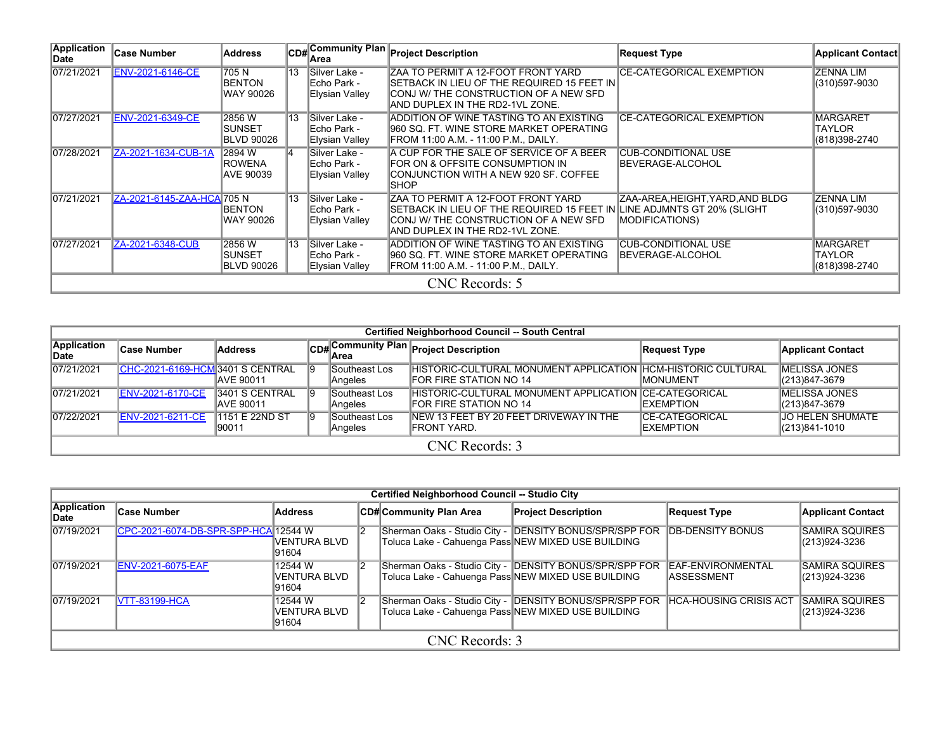| <b>Application</b><br>Date | ∣Case Number               | <b>Address</b>                                |    | lArea                                           | CD#Community Plan Project Description                                                                                                                                                    | <b>Request Type</b>                                     | <b>Applicant Contact</b>                          |
|----------------------------|----------------------------|-----------------------------------------------|----|-------------------------------------------------|------------------------------------------------------------------------------------------------------------------------------------------------------------------------------------------|---------------------------------------------------------|---------------------------------------------------|
| 07/21/2021                 | <b>ENV-2021-6146-CE</b>    | 705N<br><b>BENTON</b><br>IWAY 90026           | 13 | Silver Lake -<br>Echo Park -<br>Elysian Valley  | <b>ZAA TO PERMIT A 12-FOOT FRONT YARD</b><br>SETBACK IN LIEU OF THE REQUIRED 15 FEET IN<br>ICONJ W/ THE CONSTRUCTION OF A NEW SFD<br>AND DUPLEX IN THE RD2-1VL ZONE.                     | <b>CE-CATEGORICAL EXEMPTION</b>                         | <b>ZENNA LIM</b><br>(310)597-9030                 |
| 07/27/2021                 | ENV-2021-6349-CE           | 2856 W<br>ISUNSET<br>BLVD 90026               | 13 | Silver Lake -<br>Echo Park -<br>Elysian Valley  | ADDITION OF WINE TASTING TO AN EXISTING<br>960 SQ. FT. WINE STORE MARKET OPERATING<br>FROM 11:00 A.M. - 11:00 P.M., DAILY.                                                               | <b>CE-CATEGORICAL EXEMPTION</b>                         | <b>MARGARET</b><br><b>TAYLOR</b><br>(818)398-2740 |
| 07/28/2021                 | ZA-2021-1634-CUB-1A        | 2894 W<br><b>IROWENA</b><br><b>JAVE 90039</b> | ۱4 | Silver Lake -<br>lEcho Park -<br>Elysian Valley | A CUP FOR THE SALE OF SERVICE OF A BEER<br>FOR ON & OFFSITE CONSUMPTION IN<br>ICONJUNCTION WITH A NEW 920 SF. COFFEE<br><b>ISHOP</b>                                                     | <b>CUB-CONDITIONAL USE</b><br>IBEVERAGE-ALCOHOL         |                                                   |
| 07/21/2021                 | ZA-2021-6145-ZAA-HCA 705 N | <b>BENTON</b><br>WAY 90026                    | 13 | Silver Lake -<br>lEcho Park -<br>Elysian Valley | ZAA TO PERMIT A 12-FOOT FRONT YARD<br>SETBACK IN LIEU OF THE REQUIRED 15 FEET IN LINE ADJMNTS GT 20% (SLIGHT<br>CONJ W/ THE CONSTRUCTION OF A NEW SFD<br>AND DUPLEX IN THE RD2-1VL ZONE. | ZAA-AREA,HEIGHT,YARD,AND BLDG <br><b>MODIFICATIONS)</b> | IZENNA LIM<br>(310)597-9030                       |
| 07/27/2021                 | ZA-2021-6348-CUB           | 2856W<br>ISUNSET<br>BLVD 90026                | 13 | Silver Lake -<br>lEcho Park -<br>Elysian Valley | ADDITION OF WINE TASTING TO AN EXISTING<br>960 SQ. FT. WINE STORE MARKET OPERATING<br>FROM 11:00 A.M. - 11:00 P.M., DAILY.                                                               | <b>CUB-CONDITIONAL USE</b><br> BEVERAGE-ALCOHOL         | <b>MARGARET</b><br><b>TAYLOR</b><br>(818)398-2740 |
|                            |                            |                                               |    |                                                 | CNC Records: 5                                                                                                                                                                           |                                                         |                                                   |

|                            | <b>Certified Neighborhood Council -- South Central</b> |                              |    |                          |                                                                                                  |                                             |                                        |  |  |  |  |  |  |
|----------------------------|--------------------------------------------------------|------------------------------|----|--------------------------|--------------------------------------------------------------------------------------------------|---------------------------------------------|----------------------------------------|--|--|--|--|--|--|
| Application<br><b>Date</b> | <b>Case Number</b>                                     | Address                      |    |                          | CD# Community Plan Project Description                                                           | Request Type                                | <b>Applicant Contact</b>               |  |  |  |  |  |  |
| 07/21/2021                 | CHC-2021-6169-HCM 3401 S CENTRAL                       | IAVE 90011                   | 9  | Southeast Los<br>Angeles | IHISTORIC-CULTURAL MONUMENT APPLICATION IHCM-HISTORIC CULTURAL<br><b>IFOR FIRE STATION NO 14</b> | IMONUMENT                                   | <b>IMELISSA JONES</b><br>(213)847-3679 |  |  |  |  |  |  |
| 07/21/2021                 | <b>ENV-2021-6170-CE</b>                                | 3401 S CENTRAL<br>IAVE 90011 | 19 | Southeast Los<br>Angeles | HISTORIC-CULTURAL MONUMENT APPLICATION ICE-CATEGORICAL<br><b>IFOR FIRE STATION NO 14</b>         | <b>IEXEMPTION</b>                           | <b>IMELISSA JONES</b><br>(213)847-3679 |  |  |  |  |  |  |
| 07/22/2021                 | <b>ENV-2021-6211-CE</b>                                | 1151 E 22ND ST<br>90011      | 19 | Southeast Los<br>Angeles | INEW 13 FEET BY 20 FEET DRIVEWAY IN THE<br>IFRONT YARD.                                          | <b>ICE-CATEGORICAL</b><br><b>IEXEMPTION</b> | JO HELEN SHUMATE<br>(213)841-1010      |  |  |  |  |  |  |
|                            | CNC Records: 3                                         |                              |    |                          |                                                                                                  |                                             |                                        |  |  |  |  |  |  |

|                      |                                      |                                    | <b>Certified Neighborhood Council -- Studio City</b> |                                                                                                               |                                               |                                           |
|----------------------|--------------------------------------|------------------------------------|------------------------------------------------------|---------------------------------------------------------------------------------------------------------------|-----------------------------------------------|-------------------------------------------|
| Application<br>∣Date | <b>Case Number</b>                   | Address                            | CD# Community Plan Area                              | <b>Project Description</b>                                                                                    | <b>Request Type</b>                           | <b>Applicant Contact</b>                  |
| 07/19/2021           | CPC-2021-6074-DB-SPR-SPP-HCA 12544 W | IVENTURA BLVD<br>91604             |                                                      | Sherman Oaks - Studio City - DENSITY BONUS/SPR/SPP FOR<br>Toluca Lake - Cahuenga Pass NEW MIXED USE BUILDING  | <b>DB-DENSITY BONUS</b>                       | <b>SAMIRA SQUIRES</b><br>(213)924-3236    |
| 07/19/2021           | <b>ENV-2021-6075-EAF</b>             | 12544 W<br>IVENTURA BLVD<br>91604  |                                                      | Sherman Oaks - Studio City -  DENSITY BONUS/SPR/SPP FOR<br>Toluca Lake - Cahuenga Pass NEW MIXED USE BUILDING | <b>EAF-ENVIRONMENTAL</b><br><b>ASSESSMENT</b> | <b>SAMIRA SQUIRES</b><br>(213) 924-3236   |
| 07/19/2021           | <b>VTT-83199-HCA</b>                 | 12544 W<br>IVENTURA BLVD<br>191604 |                                                      | Sherman Oaks - Studio City - DENSITY BONUS/SPR/SPP FOR<br>Toluca Lake - Cahuenga Pass NEW MIXED USE BUILDING  | <b>HCA-HOUSING CRISIS ACT</b>                 | <b>SAMIRA SQUIRES</b><br>$ (213)924-3236$ |
|                      |                                      |                                    | CNC Records: 3                                       |                                                                                                               |                                               |                                           |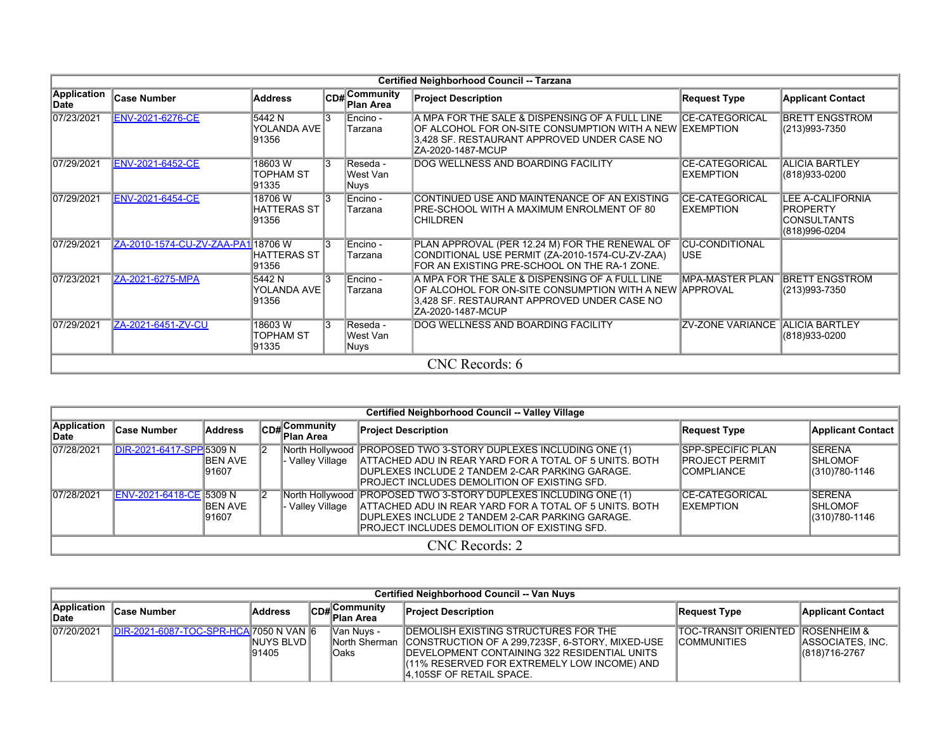|                            | Certified Neighborhood Council -- Tarzana |                                       |                |                                  |                                                                                                                                                                                 |                                            |                                                                                   |  |  |  |  |  |  |
|----------------------------|-------------------------------------------|---------------------------------------|----------------|----------------------------------|---------------------------------------------------------------------------------------------------------------------------------------------------------------------------------|--------------------------------------------|-----------------------------------------------------------------------------------|--|--|--|--|--|--|
| <b>Application</b><br>Date | Case Number                               | <b>Address</b>                        |                | CD#Community<br><b>Plan Area</b> | <b>Project Description</b>                                                                                                                                                      | <b>Request Type</b>                        | <b>Applicant Contact</b>                                                          |  |  |  |  |  |  |
| 07/23/2021                 | ENV-2021-6276-CE                          | 5442 N<br>YOLANDA AVE<br>91356        | $\overline{3}$ | Encino -<br>Tarzana              | A MPA FOR THE SALE & DISPENSING OF A FULL LINE<br>OF ALCOHOL FOR ON-SITE CONSUMPTION WITH A NEW IEXEMPTION<br>3,428 SF. RESTAURANT APPROVED UNDER CASE NO<br>IZA-2020-1487-MCUP | <b>CE-CATEGORICAL</b>                      | <b>BRETT ENGSTROM</b><br>(213)993-7350                                            |  |  |  |  |  |  |
| 07/29/2021                 | <b>ENV-2021-6452-CE</b>                   | 18603W<br>TOPHAM ST<br>91335          | $\mathbf{R}$   | Reseda -<br>West Van<br>Nuys     | DOG WELLNESS AND BOARDING FACILITY                                                                                                                                              | <b>CE-CATEGORICAL</b><br><b>IEXEMPTION</b> | <b>ALICIA BARTLEY</b><br>(818)933-0200                                            |  |  |  |  |  |  |
| 07/29/2021                 | <b>ENV-2021-6454-CE</b>                   | 18706W<br><b>HATTERAS ST</b><br>91356 | 13             | Encino -<br>Tarzana              | CONTINUED USE AND MAINTENANCE OF AN EXISTING<br>IPRE-SCHOOL WITH A MAXIMUM ENROLMENT OF 80<br><b>CHILDREN</b>                                                                   | <b>CE-CATEGORICAL</b><br><b>EXEMPTION</b>  | <b>LEE A-CALIFORNIA</b><br><b>PROPERTY</b><br><b>CONSULTANTS</b><br>(818)996-0204 |  |  |  |  |  |  |
| 07/29/2021                 | ZA-2010-1574-CU-ZV-ZAA-PA1 18706 W        | HATTERAS ST<br>91356                  | 13             | Encino -<br>Tarzana              | PLAN APPROVAL (PER 12.24 M) FOR THE RENEWAL OF<br>CONDITIONAL USE PERMIT (ZA-2010-1574-CU-ZV-ZAA)<br>FOR AN EXISTING PRE-SCHOOL ON THE RA-1 ZONE.                               | <b>CU-CONDITIONAL</b><br><b>USE</b>        |                                                                                   |  |  |  |  |  |  |
| 07/23/2021                 | ZA-2021-6275-MPA                          | 5442 N<br>YOLANDA AVE<br>91356        | 13             | Encino -<br>Tarzana              | A MPA FOR THE SALE & DISPENSING OF A FULL LINE<br>OF ALCOHOL FOR ON-SITE CONSUMPTION WITH A NEW APPROVAL<br>3,428 SF. RESTAURANT APPROVED UNDER CASE NO<br>IZA-2020-1487-MCUP   | <b>MPA-MASTER PLAN</b>                     | <b>BRETT ENGSTROM</b><br>(213)993-7350                                            |  |  |  |  |  |  |
| 07/29/2021                 | ZA-2021-6451-ZV-CU                        | 18603W<br>TOPHAM ST<br>91335          | 13             | Reseda -<br>West Van<br>Nuys     | DOG WELLNESS AND BOARDING FACILITY                                                                                                                                              | <b>ZV-ZONE VARIANCE ALICIA BARTLEY</b>     | (818)933-0200                                                                     |  |  |  |  |  |  |
|                            |                                           |                                       |                |                                  | CNC Records: 6                                                                                                                                                                  |                                            |                                                                                   |  |  |  |  |  |  |

|                      | Certified Neighborhood Council -- Valley Village |                           |  |                           |                                                                                                                                                                                                                                         |                                                                          |                                                     |  |  |  |  |  |  |
|----------------------|--------------------------------------------------|---------------------------|--|---------------------------|-----------------------------------------------------------------------------------------------------------------------------------------------------------------------------------------------------------------------------------------|--------------------------------------------------------------------------|-----------------------------------------------------|--|--|--|--|--|--|
| Application<br>∥Date | ∣Case Number                                     | Address                   |  | CD#Community<br>Plan Area | <b>Project Description</b>                                                                                                                                                                                                              | <b>Request Type</b>                                                      | <b>Applicant Contact</b>                            |  |  |  |  |  |  |
| 07/28/2021           | DIR-2021-6417-SPP 5309 N                         | <b>IBEN AVE</b><br>191607 |  | Valley Village            | North Hollywood PROPOSED TWO 3-STORY DUPLEXES INCLUDING ONE (1)<br>ATTACHED ADU IN REAR YARD FOR A TOTAL OF 5 UNITS. BOTH<br><b>IDUPLEXES INCLUDE 2 TANDEM 2-CAR PARKING GARAGE.</b><br>IPROJECT INCLUDES DEMOLITION OF EXISTING SFD.   | <b>SPP-SPECIFIC PLAN</b><br><b>IPROJECT PERMIT</b><br><b>ICOMPLIANCE</b> | <b>SERENA</b><br><b>ISHLOMOF</b><br>(310) 780-1146  |  |  |  |  |  |  |
| 07/28/2021           | ENV-2021-6418-CE 5309 N                          | <b>IBEN AVE</b><br>191607 |  | · Valley Village          | North Hollywood   PROPOSED TWO 3-STORY DUPLEXES INCLUDING ONE (1)<br>ATTACHED ADU IN REAR YARD FOR A TOTAL OF 5 UNITS. BOTH<br><b>IDUPLEXES INCLUDE 2 TANDEM 2-CAR PARKING GARAGE.</b><br>IPROJECT INCLUDES DEMOLITION OF EXISTING SFD. | ICE-CATEGORICAL<br><b>IEXEMPTION</b>                                     | <b>ISERENA</b><br><b>ISHLOMOF</b><br>(310) 780-1146 |  |  |  |  |  |  |
|                      |                                                  |                           |  |                           | CNC Records: 2                                                                                                                                                                                                                          |                                                                          |                                                     |  |  |  |  |  |  |

|                            | Certified Neighborhood Council -- Van Nuys    |                              |  |                                                    |                                                                                                                                                                                                                                                  |                                                                    |                                   |  |  |  |  |  |  |  |
|----------------------------|-----------------------------------------------|------------------------------|--|----------------------------------------------------|--------------------------------------------------------------------------------------------------------------------------------------------------------------------------------------------------------------------------------------------------|--------------------------------------------------------------------|-----------------------------------|--|--|--|--|--|--|--|
| Application<br><b>Date</b> | <b>Case Number</b>                            | <b>Address</b>               |  | $\left \mathsf{CDH}\right $ Community<br>Plan Area | <b>Project Description</b>                                                                                                                                                                                                                       | Request Type                                                       | <b>Applicant Contact</b>          |  |  |  |  |  |  |  |
| 07/20/2021                 | <b>DIR-2021-6087-TOC-SPR-HCA 7050 N VAN 6</b> | <b>INUYS BLVDI</b><br>191405 |  | Van Nuvs -<br><b>Oaks</b>                          | <b>IDEMOLISH EXISTING STRUCTURES FOR THE</b><br>North Sherman CONSTRUCTION OF A 299,723SF, 6-STORY, MIXED-USE<br><b>IDEVELOPMENT CONTAINING 322 RESIDENTIAL UNITS</b><br>(11% RESERVED FOR EXTREMELY LOW INCOME) AND<br>4,105SF OF RETAIL SPACE. | <b>TOC-TRANSIT ORIENTED ROSENHEIM &amp;</b><br><b>ICOMMUNITIES</b> | ASSOCIATES, INC.<br>(818)716-2767 |  |  |  |  |  |  |  |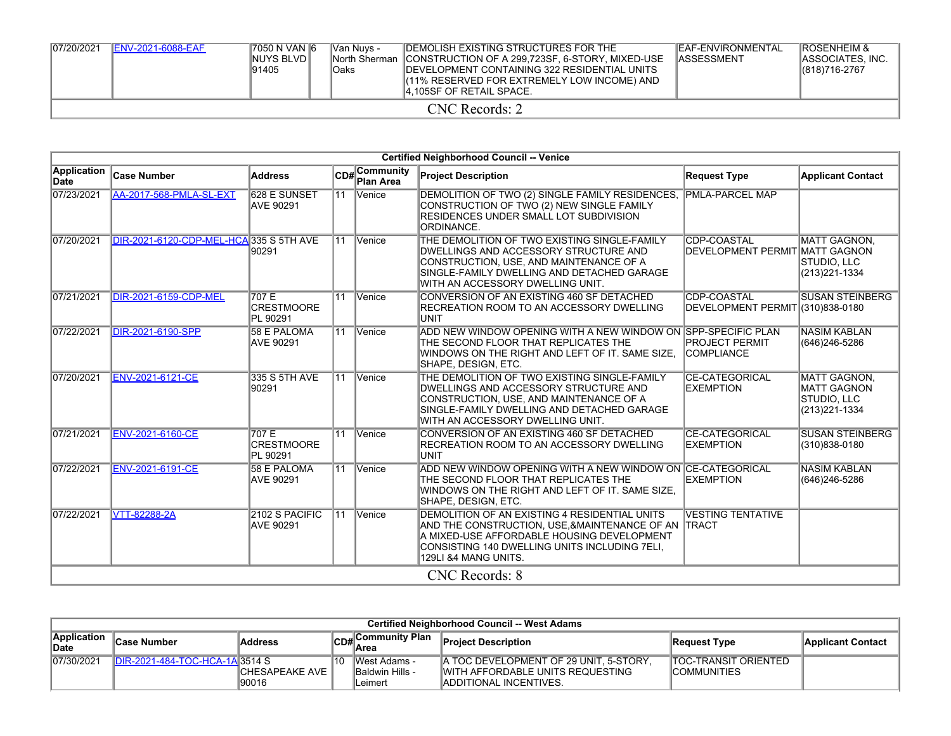| 07/20/2021 | <b>IENV-2021-6088-EAF</b> | 7050 N VAN 6<br>INUYS BLVDI<br>191405 | Van Nuvs -<br>lOaks | <b>IDEMOLISH EXISTING STRUCTURES FOR THE</b><br><b>INorth Sherman ICONSTRUCTION OF A 299.723SF, 6-STORY, MIXED-USE</b><br><b>IDEVELOPMENT CONTAINING 322 RESIDENTIAL UNITS</b><br>(11% RESERVED FOR EXTREMELY LOW INCOME) AND<br><b>4.105SF OF RETAIL SPACE.</b> | <b>IEAF-ENVIRONMENTAL</b><br><b>IASSESSMENT</b> | <b>ROSENHEIM &amp;</b><br>IASSOCIATES. INC.<br>$ (818)716-2767$ |  |  |  |  |  |  |
|------------|---------------------------|---------------------------------------|---------------------|------------------------------------------------------------------------------------------------------------------------------------------------------------------------------------------------------------------------------------------------------------------|-------------------------------------------------|-----------------------------------------------------------------|--|--|--|--|--|--|
|            | CNC Records: 2            |                                       |                     |                                                                                                                                                                                                                                                                  |                                                 |                                                                 |  |  |  |  |  |  |

|                            | <b>Certified Neighborhood Council -- Venice</b> |                                         |    |                                              |                                                                                                                                                                                                                             |                                                 |                                                                            |  |  |  |  |  |  |
|----------------------------|-------------------------------------------------|-----------------------------------------|----|----------------------------------------------|-----------------------------------------------------------------------------------------------------------------------------------------------------------------------------------------------------------------------------|-------------------------------------------------|----------------------------------------------------------------------------|--|--|--|--|--|--|
| <b>Application</b><br>Date | <b>Case Number</b>                              | <b>Address</b>                          |    | CD# <sup>Community</sup><br><b>Plan Area</b> | <b>Project Description</b>                                                                                                                                                                                                  | <b>Request Type</b>                             | <b>Applicant Contact</b>                                                   |  |  |  |  |  |  |
| 07/23/2021                 | <b>AA-2017-568-PMLA-SL-EXT</b>                  | <b>628 E SUNSET</b><br><b>AVE 90291</b> |    | 11 Venice                                    | DEMOLITION OF TWO (2) SINGLE FAMILY RESIDENCES,<br>CONSTRUCTION OF TWO (2) NEW SINGLE FAMILY<br><b>IRESIDENCES UNDER SMALL LOT SUBDIVISION</b><br>ORDINANCE.                                                                | <b>PMLA-PARCEL MAP</b>                          |                                                                            |  |  |  |  |  |  |
| 07/20/2021                 | DIR-2021-6120-CDP-MEL-HCA 335 S 5TH AVE         | 90291                                   |    | 11 Venice                                    | THE DEMOLITION OF TWO EXISTING SINGLE-FAMILY<br>DWELLINGS AND ACCESSORY STRUCTURE AND<br>CONSTRUCTION, USE, AND MAINTENANCE OF A<br>SINGLE-FAMILY DWELLING AND DETACHED GARAGE<br>WITH AN ACCESSORY DWELLING UNIT.          | CDP-COASTAL<br>DEVELOPMENT PERMIT MATT GAGNON   | <b>MATT GAGNON.</b><br>STUDIO, LLC<br>(213) 221-1334                       |  |  |  |  |  |  |
| 07/21/2021                 | <b>DIR-2021-6159-CDP-MEL</b>                    | 707 E<br><b>CRESTMOORE</b><br>PL 90291  | 11 | Venice                                       | CONVERSION OF AN EXISTING 460 SF DETACHED<br>RECREATION ROOM TO AN ACCESSORY DWELLING<br><b>UNIT</b>                                                                                                                        | CDP-COASTAL<br>DEVELOPMENT PERMIT (310)838-0180 | <b>SUSAN STEINBERG</b>                                                     |  |  |  |  |  |  |
| 07/22/2021                 | <b>DIR-2021-6190-SPP</b>                        | <b>58 E PALOMA</b><br>AVE 90291         |    | 11 Venice                                    | ADD NEW WINDOW OPENING WITH A NEW WINDOW ON SPP-SPECIFIC PLAN<br>THE SECOND FLOOR THAT REPLICATES THE<br>WINDOWS ON THE RIGHT AND LEFT OF IT. SAME SIZE,<br> SHAPE, DESIGN, ETC.                                            | <b>PROJECT PERMIT</b><br><b>COMPLIANCE</b>      | <b>NASIM KABLAN</b><br>(646)246-5286                                       |  |  |  |  |  |  |
| 07/20/2021                 | <b>ENV-2021-6121-CE</b>                         | 335 S 5TH AVE<br>90291                  |    | 11 Venice                                    | THE DEMOLITION OF TWO EXISTING SINGLE-FAMILY<br>DWELLINGS AND ACCESSORY STRUCTURE AND<br>CONSTRUCTION, USE, AND MAINTENANCE OF A<br>SINGLE-FAMILY DWELLING AND DETACHED GARAGE<br>WITH AN ACCESSORY DWELLING UNIT.          | <b>CE-CATEGORICAL</b><br><b>EXEMPTION</b>       | <b>MATT GAGNON,</b><br><b>MATT GAGNON</b><br>STUDIO, LLC<br>(213) 221-1334 |  |  |  |  |  |  |
| 07/21/2021                 | ENV-2021-6160-CE                                | 707 E<br><b>CRESTMOORE</b><br>PL 90291  | 11 | Venice                                       | CONVERSION OF AN EXISTING 460 SF DETACHED<br>RECREATION ROOM TO AN ACCESSORY DWELLING<br><b>UNIT</b>                                                                                                                        | <b>CE-CATEGORICAL</b><br><b>EXEMPTION</b>       | <b>SUSAN STEINBERG</b><br>(310)838-0180                                    |  |  |  |  |  |  |
| 07/22/2021                 | <b>ENV-2021-6191-CE</b>                         | <b>58 E PALOMA</b><br>AVE 90291         |    | 11 Venice                                    | ADD NEW WINDOW OPENING WITH A NEW WINDOW ON CE-CATEGORICAL<br>THE SECOND FLOOR THAT REPLICATES THE<br>WINDOWS ON THE RIGHT AND LEFT OF IT. SAME SIZE.<br>SHAPE, DESIGN, ETC.                                                | <b>EXEMPTION</b>                                | <b>NASIM KABLAN</b><br>(646) 246-5286                                      |  |  |  |  |  |  |
| 07/22/2021                 | <b>VTT-82288-2A</b>                             | 2102 S PACIFIC<br>AVE 90291             |    | 11 Venice                                    | DEMOLITION OF AN EXISTING 4 RESIDENTIAL UNITS<br>AND THE CONSTRUCTION. USE &MAINTENANCE OF AN TRACT<br>A MIXED-USE AFFORDABLE HOUSING DEVELOPMENT<br>CONSISTING 140 DWELLING UNITS INCLUDING 7ELI,<br>129LI & 4 MANG UNITS. | <b>VESTING TENTATIVE</b>                        |                                                                            |  |  |  |  |  |  |
|                            |                                                 |                                         |    |                                              | <b>CNC</b> Records: 8                                                                                                                                                                                                       |                                                 |                                                                            |  |  |  |  |  |  |

|                            | <b>Certified Neighborhood Council -- West Adams</b> |                         |    |                         |                                               |                              |                   |  |  |  |  |  |
|----------------------------|-----------------------------------------------------|-------------------------|----|-------------------------|-----------------------------------------------|------------------------------|-------------------|--|--|--|--|--|
| Application<br><b>Date</b> | lCase Number                                        | <b>Address</b>          |    | CD#Community Plan       | <b>Project Description</b>                    | Request Type                 | Applicant Contact |  |  |  |  |  |
| 07/30/2021                 | <b>IDIR-2021-484-TOC-HCA-1A 3514 S</b>              |                         | 10 | <b>IWest Adams -</b>    | <b>A TOC DEVELOPMENT OF 29 UNIT. 5-STORY.</b> | <b>ITOC-TRANSIT ORIENTED</b> |                   |  |  |  |  |  |
|                            |                                                     | <b>CHESAPEAKE AVE I</b> |    | <b>IBaldwin Hills -</b> | IWITH AFFORDABLE UNITS REQUESTING             | <b>COMMUNITIES</b>           |                   |  |  |  |  |  |
|                            |                                                     | 90016                   |    | Leimert                 | <b>IADDITIONAL INCENTIVES.</b>                |                              |                   |  |  |  |  |  |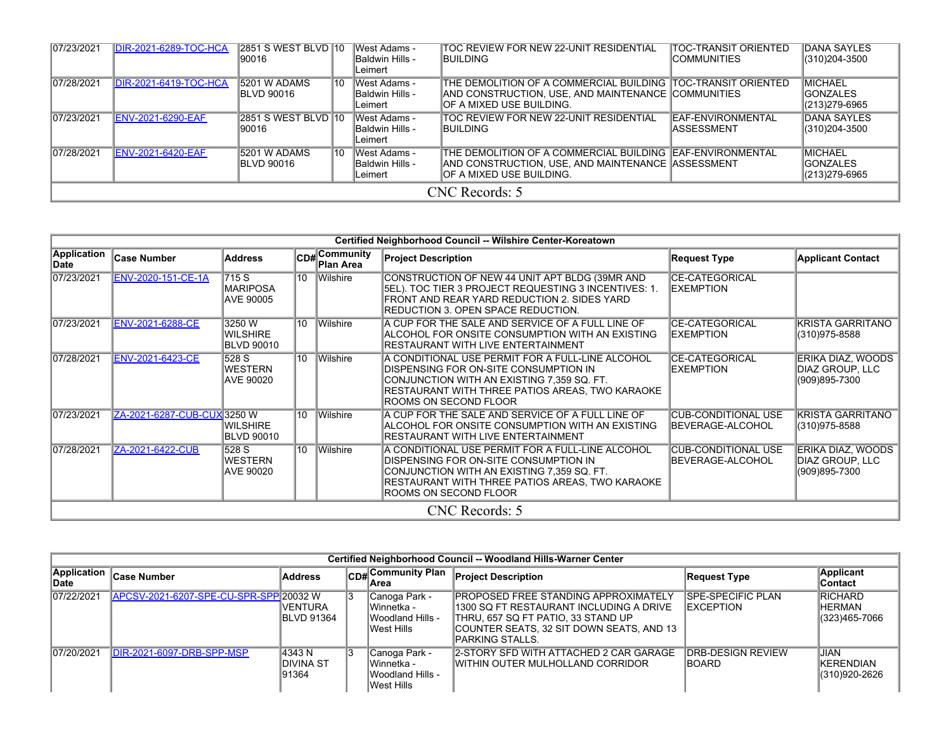| 07/23/2021 | <b>DIR-2021-6289-TOC-HCA</b> | <b>2851 S WEST BLVD 10</b><br>190016 |     | <b>IWest Adams -</b><br>Baldwin Hills -<br>lLeimert       | TOC REVIEW FOR NEW 22-UNIT RESIDENTIAL<br><b>IBUILDING</b>                                                                                      | <b>TOC-TRANSIT ORIENTED</b><br><b>ICOMMUNITIES</b> | DANA SAYLES<br>(310)204-3500                         |  |  |  |  |
|------------|------------------------------|--------------------------------------|-----|-----------------------------------------------------------|-------------------------------------------------------------------------------------------------------------------------------------------------|----------------------------------------------------|------------------------------------------------------|--|--|--|--|
| 07/28/2021 | DIR-2021-6419-TOC-HCA        | 5201 W ADAMS<br><b>IBLVD 90016</b>   | 110 | West Adams -<br><b>Baldwin Hills -</b><br>lLeimert        | THE DEMOLITION OF A COMMERCIAL BUILDING TOC-TRANSIT ORIENTED<br>AND CONSTRUCTION, USE, AND MAINTENANCE COMMUNITIES<br>IOF A MIXED USE BUILDING. |                                                    | <b>MICHAEL</b><br><b>IGONZALES</b><br>(213)279-6965  |  |  |  |  |
| 07/23/2021 | <b>ENV-2021-6290-EAF</b>     | 2851 S WEST BLVD 10<br>190016        |     | <b>IWest Adams -</b><br>Baldwin Hills -<br>lLeimert       | TOC REVIEW FOR NEW 22-UNIT RESIDENTIAL<br><b>IBUILDING</b>                                                                                      | <b>IEAF-ENVIRONMENTAL</b><br><b>ASSESSMENT</b>     | <b>DANA SAYLES</b><br>(310)204-3500                  |  |  |  |  |
| 07/28/2021 | <b>ENV-2021-6420-EAF</b>     | 15201 W ADAMS<br><b>IBLVD 90016</b>  | 110 | <b>West Adams -</b><br><b>Baldwin Hills -</b><br>lLeimert | THE DEMOLITION OF A COMMERCIAL BUILDING IEAF-ENVIRONMENTAL<br>AND CONSTRUCTION, USE, AND MAINTENANCE ASSESSMENT<br>IOF A MIXED USE BUILDING.    |                                                    | <b>MICHAEL</b><br><b>IGONZALES</b><br>(213) 279-6965 |  |  |  |  |
|            | CNC Records: 5               |                                      |     |                                                           |                                                                                                                                                 |                                                    |                                                      |  |  |  |  |

|                            | Certified Neighborhood Council -- Wilshire Center-Koreatown |                                         |          |                           |                                                                                                                                                                                                                     |                                                |                                                       |  |  |
|----------------------------|-------------------------------------------------------------|-----------------------------------------|----------|---------------------------|---------------------------------------------------------------------------------------------------------------------------------------------------------------------------------------------------------------------|------------------------------------------------|-------------------------------------------------------|--|--|
| <b>Application</b><br>Date | <b>Case Number</b>                                          | <b>Address</b>                          |          | CD#Community<br>Plan Area | <b>Project Description</b>                                                                                                                                                                                          | <b>Request Type</b>                            | <b>Applicant Contact</b>                              |  |  |
| 07/23/2021                 | ENV-2020-151-CE-1A                                          | 715 S<br><b>MARIPOSA</b><br>AVE 90005   | $10^{-}$ | <b>Wilshire</b>           | CONSTRUCTION OF NEW 44 UNIT APT BLDG (39MR AND<br>5EL). TOC TIER 3 PROJECT REQUESTING 3 INCENTIVES: 1.<br>FRONT AND REAR YARD REDUCTION 2. SIDES YARD<br>REDUCTION 3. OPEN SPACE REDUCTION.                         | <b>CE-CATEGORICAL</b><br><b>IEXEMPTION</b>     |                                                       |  |  |
| 07/23/2021                 | <b>ENV-2021-6288-CE</b>                                     | 3250 W<br><b>WILSHIRE</b><br>BLVD 90010 | $10^{-}$ | <b>Wilshire</b>           | A CUP FOR THE SALE AND SERVICE OF A FULL LINE OF<br>ALCOHOL FOR ONSITE CONSUMPTION WITH AN EXISTING<br>RESTAURANT WITH LIVE ENTERTAINMENT                                                                           | <b>CE-CATEGORICAL</b><br><b>EXEMPTION</b>      | <b>KRISTA GARRITANO</b><br>(310)975-8588              |  |  |
| 07/28/2021                 | <b>ENV-2021-6423-CE</b>                                     | 528 S<br>WESTERN<br>AVE 90020           | 10       | Wilshire                  | A CONDITIONAL USE PERMIT FOR A FULL-LINE ALCOHOL<br>DISPENSING FOR ON-SITE CONSUMPTION IN<br>CONJUNCTION WITH AN EXISTING 7,359 SQ. FT.<br>RESTAURANT WITH THREE PATIOS AREAS, TWO KARAOKE<br>ROOMS ON SECOND FLOOR | <b>CE-CATEGORICAL</b><br><b>EXEMPTION</b>      | ERIKA DIAZ, WOODS<br>DIAZ GROUP. LLC<br>(909)895-7300 |  |  |
| 07/23/2021                 | ZA-2021-6287-CUB-CUX 3250 W                                 | WILSHIRE<br>BLVD 90010                  | 10       | Wilshire                  | A CUP FOR THE SALE AND SERVICE OF A FULL LINE OF<br>ALCOHOL FOR ONSITE CONSUMPTION WITH AN EXISTING<br>RESTAURANT WITH LIVE ENTERTAINMENT                                                                           | <b>CUB-CONDITIONAL USE</b><br>BEVERAGE-ALCOHOL | <b>KRISTA GARRITANO</b><br>(310)975-8588              |  |  |
| 07/28/2021                 | ZA-2021-6422-CUB                                            | 528 S<br><b>WESTERN</b><br>AVE 90020    | 10       | <b>Wilshire</b>           | A CONDITIONAL USE PERMIT FOR A FULL-LINE ALCOHOL<br>DISPENSING FOR ON-SITE CONSUMPTION IN<br>CONJUNCTION WITH AN EXISTING 7,359 SQ. FT.<br>RESTAURANT WITH THREE PATIOS AREAS, TWO KARAOKE<br>ROOMS ON SECOND FLOOR | <b>CUB-CONDITIONAL USE</b><br>BEVERAGE-ALCOHOL | ERIKA DIAZ, WOODS<br>DIAZ GROUP, LLC<br>(909)895-7300 |  |  |
|                            |                                                             |                                         |          |                           | CNC Records: 5                                                                                                                                                                                                      |                                                |                                                       |  |  |

|                      | Certified Neighborhood Council -- Woodland Hills-Warner Center |                                     |     |                                                                 |                                                                                                                                                                                       |                                                |                                                  |  |  |  |  |
|----------------------|----------------------------------------------------------------|-------------------------------------|-----|-----------------------------------------------------------------|---------------------------------------------------------------------------------------------------------------------------------------------------------------------------------------|------------------------------------------------|--------------------------------------------------|--|--|--|--|
| Application<br>∣Date | <b>Case Number</b>                                             | <b>Address</b>                      | CDH | ∣Communitv Plan<br>lArea                                        | <b>Project Description</b>                                                                                                                                                            | <b>Request Type</b>                            | <b>Applicant</b><br>Contact                      |  |  |  |  |
| 07/22/2021           | APCSV-2021-6207-SPE-CU-SPR-SPP 20032 W                         | <b>IVENTURA</b><br> BLVD 91364      | 13  | Canoga Park -<br>lWinnetka -<br>IWoodland Hills -<br>West Hills | IPROPOSED FREE STANDING APPROXIMATELY<br>1300 SQ FT RESTAURANT INCLUDING A DRIVE<br>THRU. 657 SQ FT PATIO. 33 STAND UP<br>COUNTER SEATS. 32 SIT DOWN SEATS. AND 13<br>PARKING STALLS. | <b>ISPE-SPECIFIC PLAN</b><br><b>IEXCEPTION</b> | <b>RICHARD</b><br><b>HERMAN</b><br>(323)465-7066 |  |  |  |  |
| 07/20/2021           | DIR-2021-6097-DRB-SPP-MSP                                      | 4343 N<br><b>DIVINA ST</b><br>91364 | 13  | Canoga Park -<br>Winnetka -<br>Woodland Hills -<br>West Hills   | 2-STORY SFD WITH ATTACHED 2 CAR GARAGE<br>IWITHIN OUTER MULHOLLAND CORRIDOR                                                                                                           | <b>IDRB-DESIGN REVIEW</b><br><b>IBOARD</b>     | JIAN<br>KERENDIAN<br>(310)920-2626               |  |  |  |  |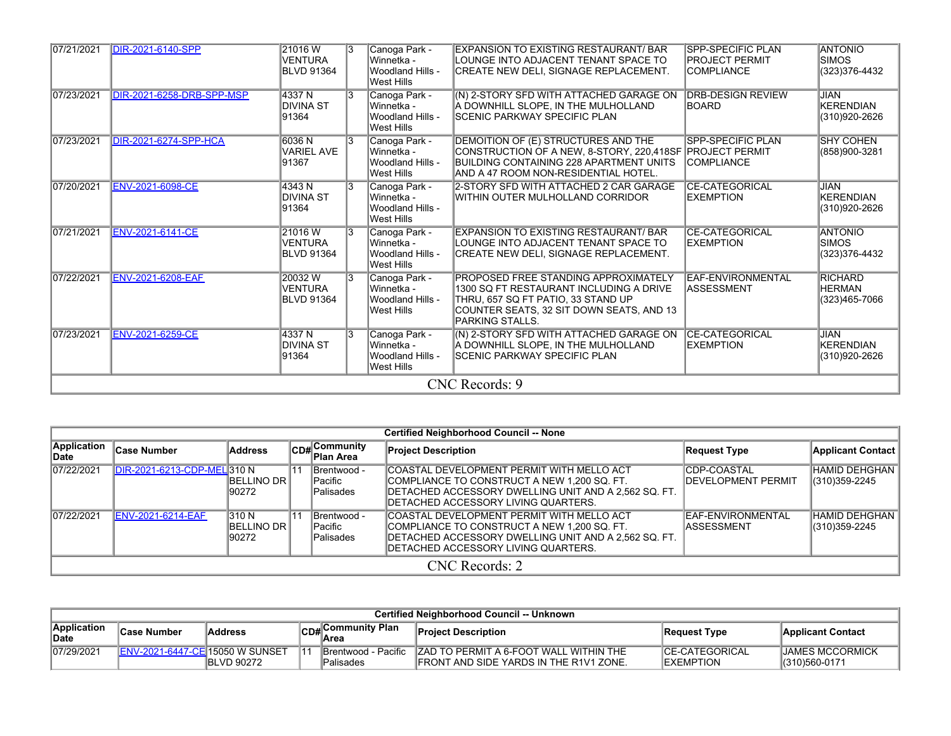| 07/21/2021 | <b>DIR-2021-6140-SPP</b>     | 21016W<br><b>VENTURA</b><br><b>BLVD 91364</b> | 13             | Canoga Park -<br>lWinnetka -<br>Woodland Hills -<br>West Hills | EXPANSION TO EXISTING RESTAURANT/ BAR<br>LOUNGE INTO ADJACENT TENANT SPACE TO<br>CREATE NEW DELI, SIGNAGE REPLACEMENT.                                                                      | <b>SPP-SPECIFIC PLAN</b><br><b>PROJECT PERMIT</b><br><b>COMPLIANCE</b> | <b>ANTONIO</b><br><b>ISIMOS</b><br>(323) 376-4432 |
|------------|------------------------------|-----------------------------------------------|----------------|----------------------------------------------------------------|---------------------------------------------------------------------------------------------------------------------------------------------------------------------------------------------|------------------------------------------------------------------------|---------------------------------------------------|
| 07/23/2021 | DIR-2021-6258-DRB-SPP-MSP    | 4337 N<br>DIVINA ST<br>91364                  | 13             | Canoga Park -<br>lWinnetka -<br>Woodland Hills -<br>West Hills | (N) 2-STORY SFD WITH ATTACHED GARAGE ON<br>A DOWNHILL SLOPE, IN THE MULHOLLAND<br>SCENIC PARKWAY SPECIFIC PLAN                                                                              | <b>DRB-DESIGN REVIEW</b><br><b>BOARD</b>                               | <b>JIAN</b><br>KERENDIAN<br>(310)920-2626         |
| 07/23/2021 | <b>DIR-2021-6274-SPP-HCA</b> | 6036 N<br><b>VARIEL AVE</b><br>91367          | $\overline{3}$ | Canoga Park -<br>Winnetka -<br>Woodland Hills -<br>West Hills  | DEMOITION OF (E) STRUCTURES AND THE<br>CONSTRUCTION OF A NEW, 8-STORY, 220,418SF PROJECT PERMIT<br>BUILDING CONTAINING 228 APARTMENT UNITS<br>AND A 47 ROOM NON-RESIDENTIAL HOTEL.          | <b>SPP-SPECIFIC PLAN</b><br><b>ICOMPLIANCE</b>                         | <b>SHY COHEN</b><br>(858)900-3281                 |
| 07/20/2021 | <b>ENV-2021-6098-CE</b>      | 4343 N<br>DIVINA ST<br>91364                  | 13             | Canoga Park -<br>Winnetka -<br>Woodland Hills -<br>West Hills  | 2-STORY SFD WITH ATTACHED 2 CAR GARAGE<br>WITHIN OUTER MULHOLLAND CORRIDOR                                                                                                                  | <b>CE-CATEGORICAL</b><br><b>EXEMPTION</b>                              | JIAN<br>KERENDIAN<br>(310)920-2626                |
| 07/21/2021 | <b>ENV-2021-6141-CE</b>      | 21016W<br><b>VENTURA</b><br><b>BLVD 91364</b> |                | Canoga Park -<br>Winnetka -<br>Woodland Hills -<br>West Hills  | EXPANSION TO EXISTING RESTAURANT/ BAR<br>LOUNGE INTO ADJACENT TENANT SPACE TO<br>CREATE NEW DELI, SIGNAGE REPLACEMENT.                                                                      | <b>CE-CATEGORICAL</b><br><b>EXEMPTION</b>                              | <b>ANTONIO</b><br><b>SIMOS</b><br>(323) 376-4432  |
| 07/22/2021 | <b>ENV-2021-6208-EAF</b>     | 20032W<br><b>VENTURA</b><br>BLVD 91364        | 13             | Canoga Park -<br>lWinnetka -<br>Woodland Hills -<br>West Hills | <b>PROPOSED FREE STANDING APPROXIMATELY</b><br>1300 SQ FT RESTAURANT INCLUDING A DRIVE<br>THRU, 657 SQ FT PATIO, 33 STAND UP<br>COUNTER SEATS, 32 SIT DOWN SEATS, AND 13<br>PARKING STALLS. | EAF-ENVIRONMENTAL<br><b>ASSESSMENT</b>                                 | <b>RICHARD</b><br><b>HERMAN</b><br>(323)465-7066  |
| 07/23/2021 | <b>ENV-2021-6259-CE</b>      | 4337 N<br><b>DIVINA ST</b><br>91364           | 13             | Canoga Park -<br>lWinnetka -<br>Woodland Hills -<br>West Hills | (N) 2-STORY SFD WITH ATTACHED GARAGE ON<br>A DOWNHILL SLOPE, IN THE MULHOLLAND<br>SCENIC PARKWAY SPECIFIC PLAN                                                                              | <b>CE-CATEGORICAL</b><br><b>EXEMPTION</b>                              | <b>JIAN</b><br>KERENDIAN<br>(310)920-2626         |
|            |                              |                                               |                |                                                                | CNC Records: 9                                                                                                                                                                              |                                                                        |                                                   |

|                      | <b>Certified Neighborhood Council -- None</b> |                                         |     |                                                    |                                                                                                                                                                                          |                                                  |                                        |  |  |
|----------------------|-----------------------------------------------|-----------------------------------------|-----|----------------------------------------------------|------------------------------------------------------------------------------------------------------------------------------------------------------------------------------------------|--------------------------------------------------|----------------------------------------|--|--|
| Application<br>lDate | <b>Case Number</b>                            | Address                                 |     | CD# Community<br>Plan Area                         | <b>Project Description</b>                                                                                                                                                               | Request Type                                     | <b>Applicant Contact</b>               |  |  |
| 07/22/2021           | DIR-2021-6213-CDP-MEL 310 N                   | <b>BELLINO DR I</b><br>190272           | 11۰ | Brentwood -<br><b>IPacific</b><br><b>Palisades</b> | COASTAL DEVELOPMENT PERMIT WITH MELLO ACT<br>COMPLIANCE TO CONSTRUCT A NEW 1,200 SQ. FT.<br>DETACHED ACCESSORY DWELLING UNIT AND A 2.562 SQ. FT.<br>DETACHED ACCESSORY LIVING QUARTERS.  | <b>CDP-COASTAL</b><br><b>IDEVELOPMENT PERMIT</b> | <b>HAMID DEHGHAN</b><br>(310) 359-2245 |  |  |
| 07/22/2021           | <b>ENV-2021-6214-EAF</b>                      | 310 N<br><b>IBELLINO DR I</b><br>190272 | 11۰ | Brentwood -<br>lPacific<br><b>Palisades</b>        | COASTAL DEVELOPMENT PERMIT WITH MELLO ACT<br>ICOMPLIANCE TO CONSTRUCT A NEW 1.200 SQ. FT.<br>DETACHED ACCESSORY DWELLING UNIT AND A 2,562 SQ. FT.<br>DETACHED ACCESSORY LIVING QUARTERS. | <b>EAF-ENVIRONMENTAL</b><br>IASSESSMENT          | <b>HAMID DEHGHAN</b><br>(310) 359-2245 |  |  |
|                      | CNC Records: 2                                |                                         |     |                                                    |                                                                                                                                                                                          |                                                  |                                        |  |  |

| Certified Neighborhood Council -- Unknown |                                 |                    |  |                                           |                                                                                           |                                             |                                           |  |
|-------------------------------------------|---------------------------------|--------------------|--|-------------------------------------------|-------------------------------------------------------------------------------------------|---------------------------------------------|-------------------------------------------|--|
| Application<br>∥Date                      | <b>Case Number</b>              | <b>Address</b>     |  | CD#Community Plan                         | <b>Project Description</b>                                                                | Request Type                                | <b>Applicant Contact</b>                  |  |
| 107/29/2021                               | ENV-2021-6447-CE 15050 W SUNSET | <b>IBLVD 90272</b> |  | <b>IBrentwood - Pacific</b><br> Palisades | IZAD TO PERMIT A 6-FOOT WALL WITHIN THE<br><b>IFRONT AND SIDE YARDS IN THE R1V1 ZONE.</b> | <b>ICE-CATEGORICAL</b><br><b>IEXEMPTION</b> | <b>IJAMES MCCORMICK</b><br>1(310)560-0171 |  |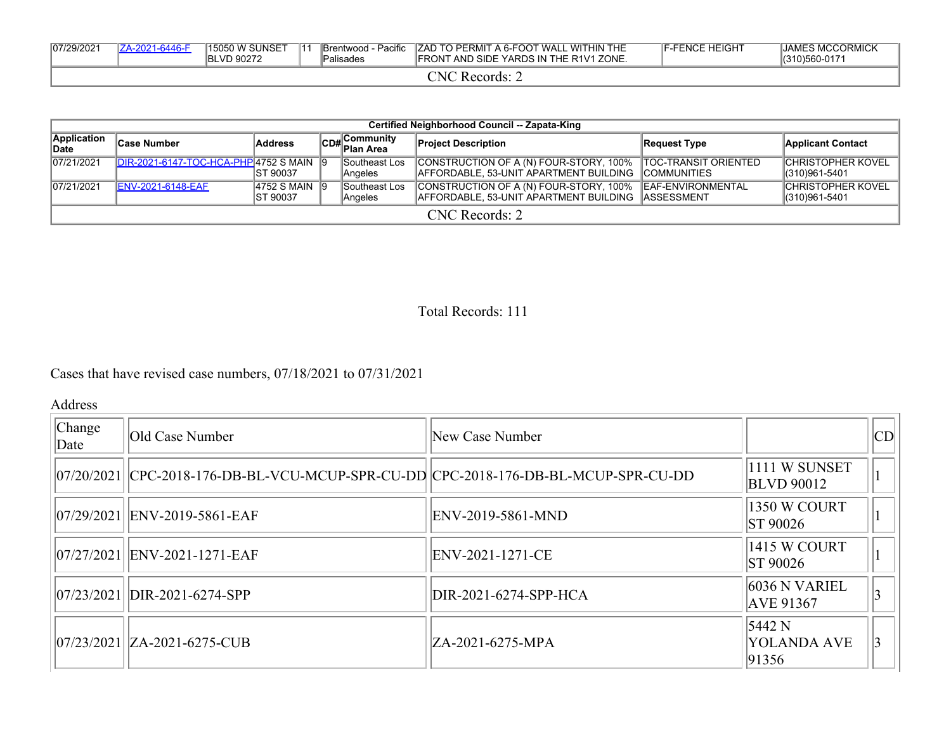| 07/29/2021 |                                                  | IZA-2021-6446-F | 15050 W SUNSET<br><b>BLVD 90272</b> | $\mathbf{11}$ | Brentwood - Pacific<br>™Palisades | <b>ZAD TO PERMIT A 6-FOOT WALL WITHIN THE</b><br><b>IFRONT AND SIDE YARDS IN THE R1V1 ZONE.</b> | <b>IF-FENCE HEIGHT</b> | <b>JAMES MCCORMICK</b><br>(310)560-0171 |  |
|------------|--------------------------------------------------|-----------------|-------------------------------------|---------------|-----------------------------------|-------------------------------------------------------------------------------------------------|------------------------|-----------------------------------------|--|
|            | $\mathbb{C}\mathrm{N}\mathrm{C}$<br>' Records: . |                 |                                     |               |                                   |                                                                                                 |                        |                                         |  |

|                      | Certified Neighborhood Council -- Zapata-King   |                              |  |                           |                                                                                                                     |                           |                                           |  |  |
|----------------------|-------------------------------------------------|------------------------------|--|---------------------------|---------------------------------------------------------------------------------------------------------------------|---------------------------|-------------------------------------------|--|--|
| Application<br>∣Date | <b>Case Number</b>                              | Address                      |  | CD#Community<br>Plan Area | <b>Project Description</b>                                                                                          | Request Type              | <b>Applicant Contact</b>                  |  |  |
| 07/21/2021           | <b>IDIR-2021-6147-TOC-HCA-PHP 4752 S MAIN 9</b> | IST 90037                    |  | Southeast Los<br>Angeles  | CONSTRUCTION OF A (N) FOUR-STORY, 100%   TOC-TRANSIT ORIENTED<br>AFFORDABLE, 53-UNIT APARTMENT BUILDING COMMUNITIES |                           | <b>CHRISTOPHER KOVEL</b><br>1310)961-5401 |  |  |
| 07/21/2021           | <b>ENV-2021-6148-EAF</b>                        | 14752 S MAIN 19<br>IST 90037 |  | Southeast Los<br>Angeles  | CONSTRUCTION OF A (N) FOUR-STORY, 100%<br>IAFFORDABLE. 53-UNIT APARTMENT BUILDING IASSESSMENT                       | <b>IEAF-ENVIRONMENTAL</b> | <b>CHRISTOPHER KOVEL</b><br>(310)961-5401 |  |  |
| $CNC$ Records: 2     |                                                 |                              |  |                           |                                                                                                                     |                           |                                           |  |  |

Total Records: 111

Cases that have revised case numbers, 07/18/2021 to 07/31/2021

Address

| Change<br>Date | Old Case Number                                                                      | New Case Number       |                                         | CD |
|----------------|--------------------------------------------------------------------------------------|-----------------------|-----------------------------------------|----|
|                | 07/20/2021  CPC-2018-176-DB-BL-VCU-MCUP-SPR-CU-DD  CPC-2018-176-DB-BL-MCUP-SPR-CU-DD |                       | 1111 W SUNSET<br><b>BLVD</b> 90012      |    |
|                | 07/29/2021 ENV-2019-5861-EAF                                                         | ENV-2019-5861-MND     | 1350 W COURT<br><b>ST 90026</b>         |    |
|                | 07/27/2021 ENV-2021-1271-EAF                                                         | ENV-2021-1271-CE      | 1415 W COURT<br><b>ST 90026</b>         |    |
|                | $ 07/23/2021 $ DIR-2021-6274-SPP                                                     | DIR-2021-6274-SPP-HCA | $6036$ N VARIEL<br><b>AVE 91367</b>     |    |
|                | 07/23/2021   ZA-2021-6275-CUB                                                        | ZA-2021-6275-MPA      | $5442$ N<br><b>YOLANDA AVE</b><br>91356 |    |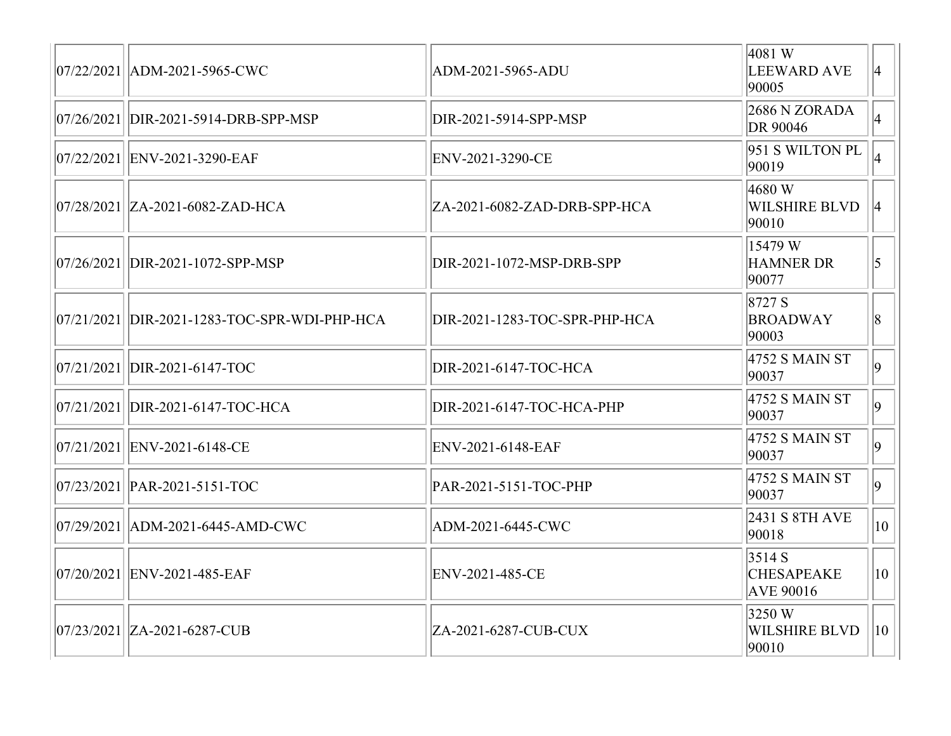| 07/22/2021   ADM-2021-5965-CWC               | ADM-2021-5965-ADU             | 4081 W<br>LEEWARD AVE<br>90005                 | $ 4\rangle$     |
|----------------------------------------------|-------------------------------|------------------------------------------------|-----------------|
| 07/26/2021  DIR-2021-5914-DRB-SPP-MSP        | DIR-2021-5914-SPP-MSP         | $2686$ N ZORADA<br>DR 90046                    | $ 4\rangle$     |
| 07/22/2021   ENV-2021-3290-EAF               | ENV-2021-3290-CE              | 951 S WILTON PL<br>90019                       |                 |
| 07/28/2021   ZA-2021-6082-ZAD-HCA            | ZA-2021-6082-ZAD-DRB-SPP-HCA  | 4680 W<br><b>WILSHIRE BLVD</b><br>90010        | $ 4\rangle$     |
| 07/26/2021 DIR-2021-1072-SPP-MSP             | DIR-2021-1072-MSP-DRB-SPP     | 15479W<br><b>HAMNER DR</b><br>90077            | $\vert 5 \vert$ |
| 07/21/2021 DIR-2021-1283-TOC-SPR-WDI-PHP-HCA | DIR-2021-1283-TOC-SPR-PHP-HCA | 8727 S<br><b>BROADWAY</b><br>90003             | 8               |
| 07/21/2021 DIR-2021-6147-TOC                 | DIR-2021-6147-TOC-HCA         | 4752 S MAIN ST<br>90037                        | $ 9\rangle$     |
| 07/21/2021 DIR-2021-6147-TOC-HCA             | DIR-2021-6147-TOC-HCA-PHP     | 4752 S MAIN ST<br>90037                        | $ 9\rangle$     |
| 07/21/2021 ENV-2021-6148-CE                  | ENV-2021-6148-EAF             | 4752 S MAIN ST<br>90037                        | $ 9\rangle$     |
| $ 07/23/2021 $ PAR-2021-5151-TOC             | PAR-2021-5151-TOC-PHP         | 4752 S MAIN ST<br>90037                        | $ 9\rangle$     |
| 07/29/2021   ADM-2021-6445-AMD-CWC           | ADM-2021-6445-CWC             | 2431 S 8TH AVE<br>90018                        | $ 10\rangle$    |
| 07/20/2021 ENV-2021-485-EAF                  | ENV-2021-485-CE               | 3514S<br><b>CHESAPEAKE</b><br><b>AVE 90016</b> | $ 10\rangle$    |
| 07/23/2021   ZA-2021-6287-CUB                | ZA-2021-6287-CUB-CUX          | 3250W<br><b>WILSHIRE BLVD</b><br>90010         | $ 10\rangle$    |